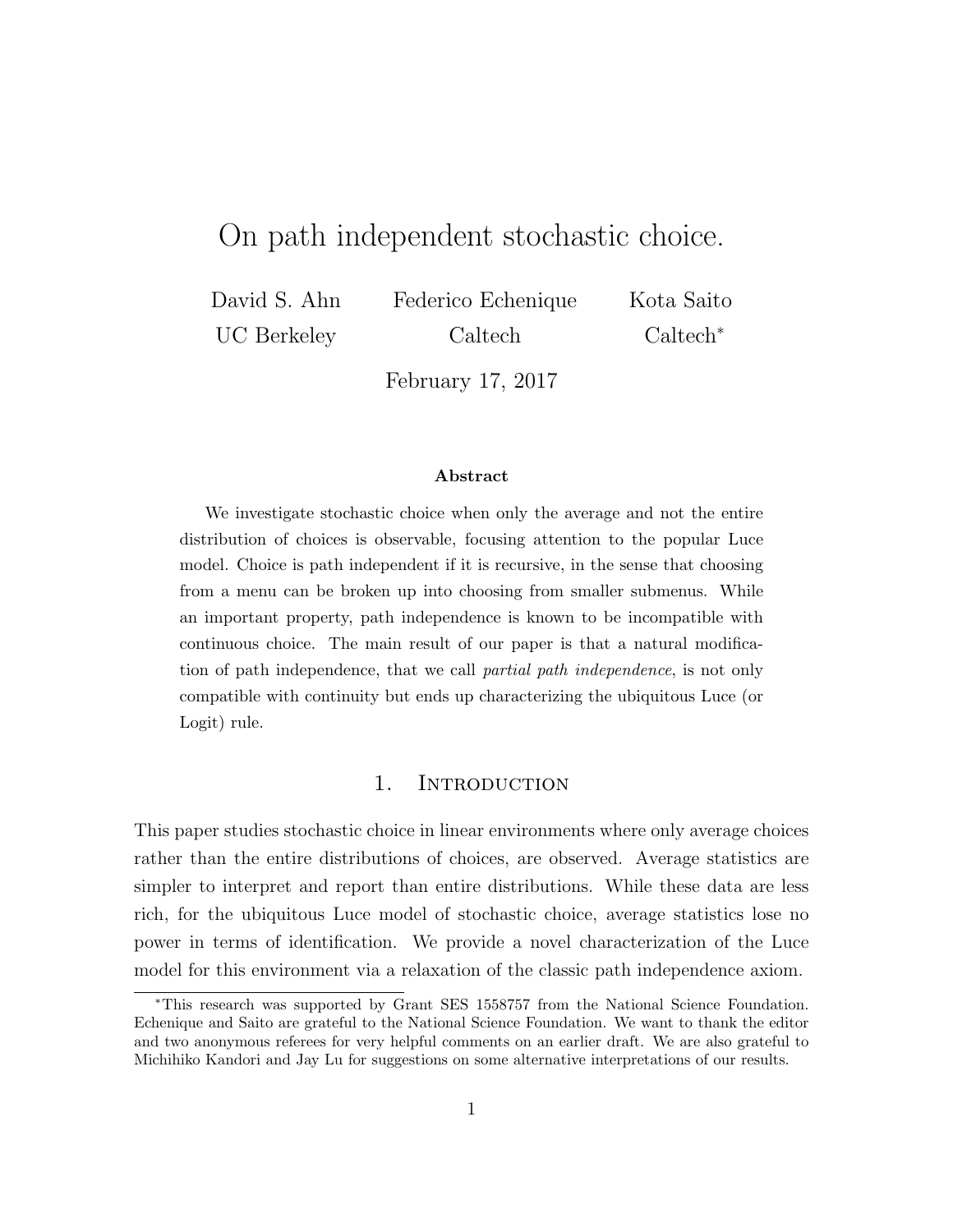# On path independent stochastic choice.

David S. Ahn UC Berkeley Federico Echenique Caltech Kota Saito Caltech<sup>∗</sup>

February 17, 2017

#### Abstract

We investigate stochastic choice when only the average and not the entire distribution of choices is observable, focusing attention to the popular Luce model. Choice is path independent if it is recursive, in the sense that choosing from a menu can be broken up into choosing from smaller submenus. While an important property, path independence is known to be incompatible with continuous choice. The main result of our paper is that a natural modification of path independence, that we call *partial path independence*, is not only compatible with continuity but ends up characterizing the ubiquitous Luce (or Logit) rule.

## 1. INTRODUCTION

This paper studies stochastic choice in linear environments where only average choices rather than the entire distributions of choices, are observed. Average statistics are simpler to interpret and report than entire distributions. While these data are less rich, for the ubiquitous Luce model of stochastic choice, average statistics lose no power in terms of identification. We provide a novel characterization of the Luce model for this environment via a relaxation of the classic path independence axiom.

<sup>∗</sup>This research was supported by Grant SES 1558757 from the National Science Foundation. Echenique and Saito are grateful to the National Science Foundation. We want to thank the editor and two anonymous referees for very helpful comments on an earlier draft. We are also grateful to Michihiko Kandori and Jay Lu for suggestions on some alternative interpretations of our results.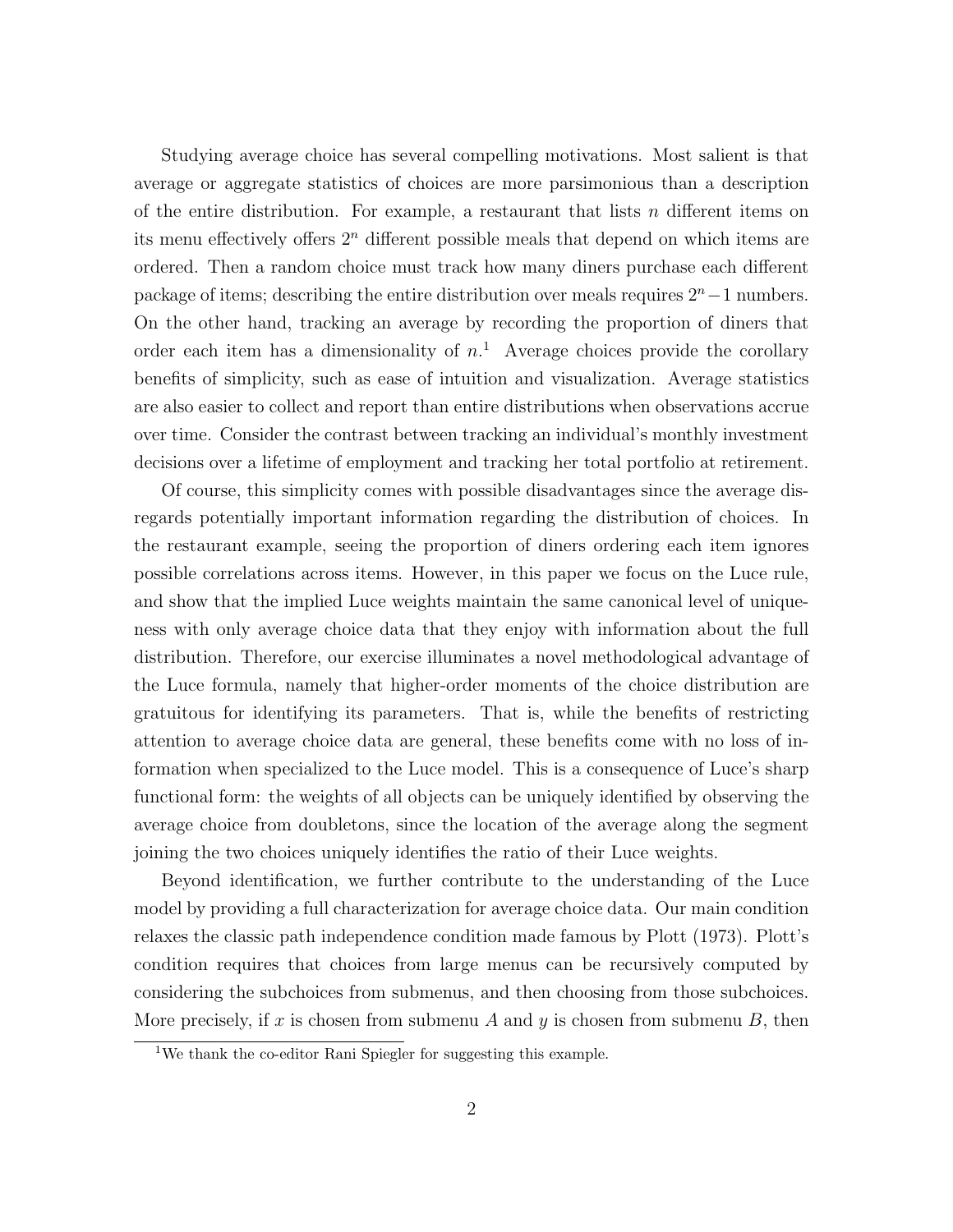Studying average choice has several compelling motivations. Most salient is that average or aggregate statistics of choices are more parsimonious than a description of the entire distribution. For example, a restaurant that lists  $n$  different items on its menu effectively offers  $2<sup>n</sup>$  different possible meals that depend on which items are ordered. Then a random choice must track how many diners purchase each different package of items; describing the entire distribution over meals requires  $2<sup>n</sup>$  – 1 numbers. On the other hand, tracking an average by recording the proportion of diners that order each item has a dimensionality of  $n<sup>1</sup>$ . Average choices provide the corollary benefits of simplicity, such as ease of intuition and visualization. Average statistics are also easier to collect and report than entire distributions when observations accrue over time. Consider the contrast between tracking an individual's monthly investment decisions over a lifetime of employment and tracking her total portfolio at retirement.

Of course, this simplicity comes with possible disadvantages since the average disregards potentially important information regarding the distribution of choices. In the restaurant example, seeing the proportion of diners ordering each item ignores possible correlations across items. However, in this paper we focus on the Luce rule, and show that the implied Luce weights maintain the same canonical level of uniqueness with only average choice data that they enjoy with information about the full distribution. Therefore, our exercise illuminates a novel methodological advantage of the Luce formula, namely that higher-order moments of the choice distribution are gratuitous for identifying its parameters. That is, while the benefits of restricting attention to average choice data are general, these benefits come with no loss of information when specialized to the Luce model. This is a consequence of Luce's sharp functional form: the weights of all objects can be uniquely identified by observing the average choice from doubletons, since the location of the average along the segment joining the two choices uniquely identifies the ratio of their Luce weights.

Beyond identification, we further contribute to the understanding of the Luce model by providing a full characterization for average choice data. Our main condition relaxes the classic path independence condition made famous by Plott (1973). Plott's condition requires that choices from large menus can be recursively computed by considering the subchoices from submenus, and then choosing from those subchoices. More precisely, if x is chosen from submenu A and y is chosen from submenu B, then

<sup>1</sup>We thank the co-editor Rani Spiegler for suggesting this example.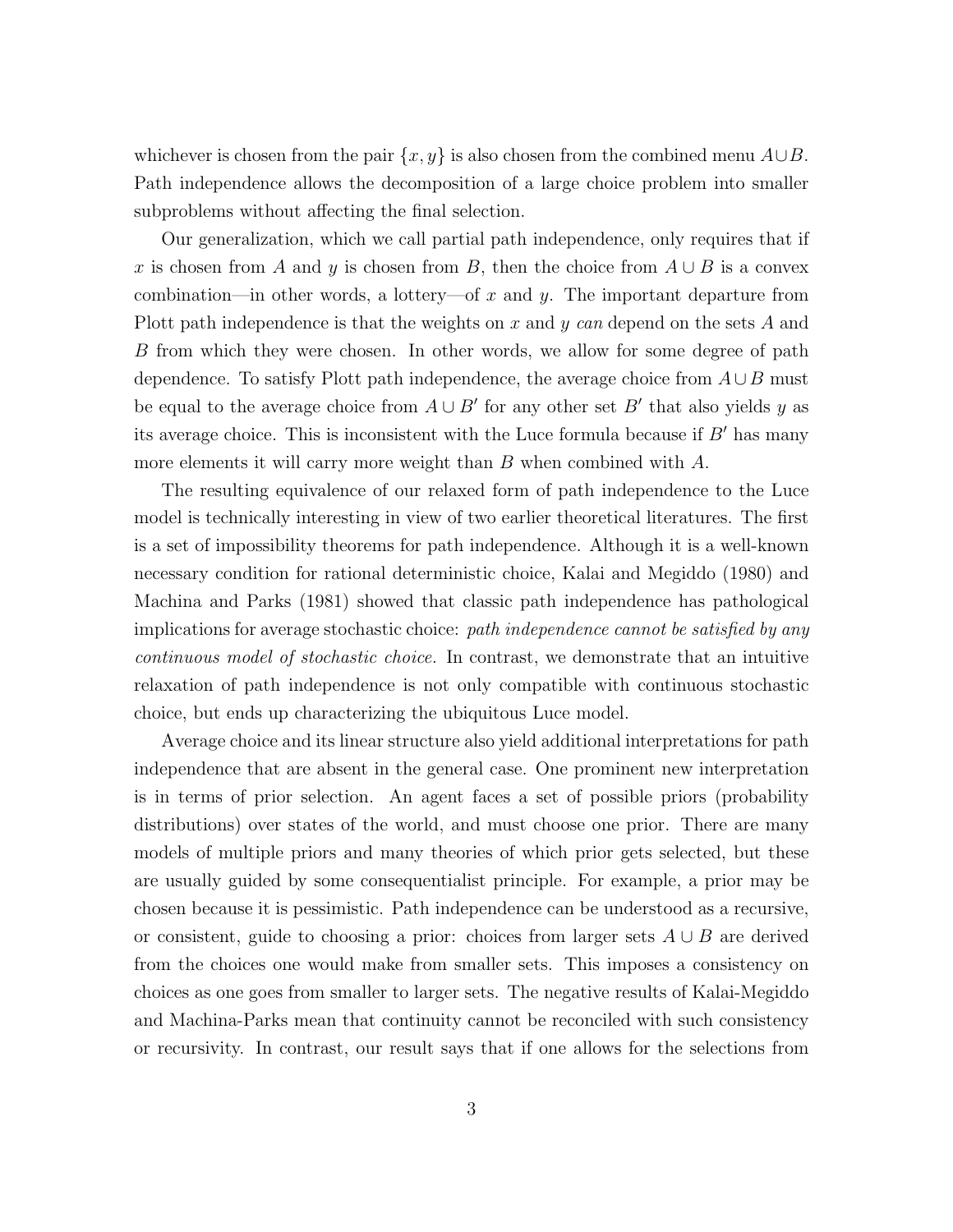whichever is chosen from the pair  $\{x, y\}$  is also chosen from the combined menu  $A\cup B$ . Path independence allows the decomposition of a large choice problem into smaller subproblems without affecting the final selection.

Our generalization, which we call partial path independence, only requires that if x is chosen from A and y is chosen from B, then the choice from  $A \cup B$  is a convex combination—in other words, a lottery—of x and y. The important departure from Plott path independence is that the weights on x and y can depend on the sets A and B from which they were chosen. In other words, we allow for some degree of path dependence. To satisfy Plott path independence, the average choice from  $A \cup B$  must be equal to the average choice from  $A \cup B'$  for any other set B' that also yields y as its average choice. This is inconsistent with the Luce formula because if  $B'$  has many more elements it will carry more weight than  $B$  when combined with  $A$ .

The resulting equivalence of our relaxed form of path independence to the Luce model is technically interesting in view of two earlier theoretical literatures. The first is a set of impossibility theorems for path independence. Although it is a well-known necessary condition for rational deterministic choice, Kalai and Megiddo (1980) and Machina and Parks (1981) showed that classic path independence has pathological implications for average stochastic choice: *path independence cannot be satisfied by any* continuous model of stochastic choice. In contrast, we demonstrate that an intuitive relaxation of path independence is not only compatible with continuous stochastic choice, but ends up characterizing the ubiquitous Luce model.

Average choice and its linear structure also yield additional interpretations for path independence that are absent in the general case. One prominent new interpretation is in terms of prior selection. An agent faces a set of possible priors (probability distributions) over states of the world, and must choose one prior. There are many models of multiple priors and many theories of which prior gets selected, but these are usually guided by some consequentialist principle. For example, a prior may be chosen because it is pessimistic. Path independence can be understood as a recursive, or consistent, guide to choosing a prior: choices from larger sets  $A \cup B$  are derived from the choices one would make from smaller sets. This imposes a consistency on choices as one goes from smaller to larger sets. The negative results of Kalai-Megiddo and Machina-Parks mean that continuity cannot be reconciled with such consistency or recursivity. In contrast, our result says that if one allows for the selections from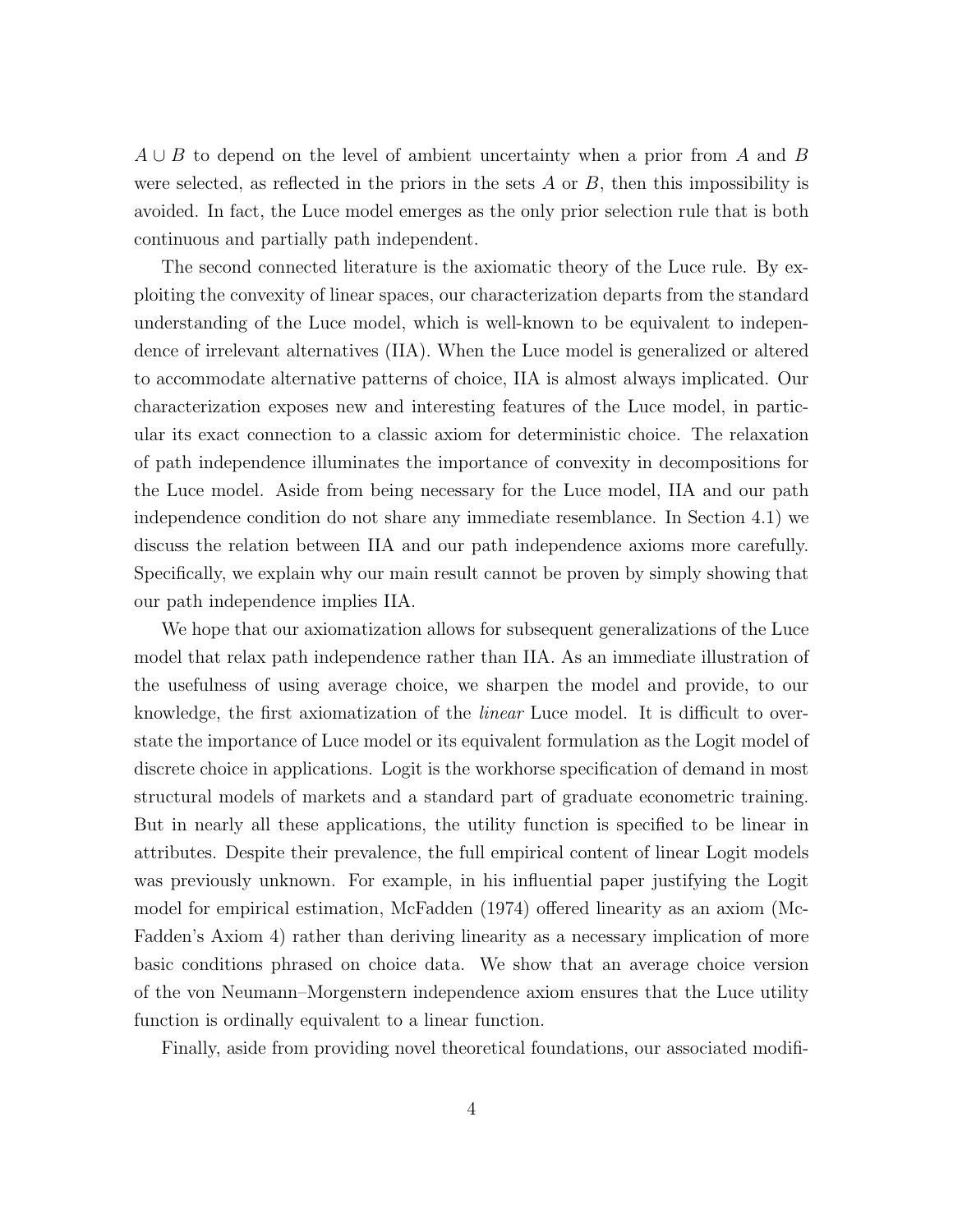$A \cup B$  to depend on the level of ambient uncertainty when a prior from A and B were selected, as reflected in the priors in the sets  $A$  or  $B$ , then this impossibility is avoided. In fact, the Luce model emerges as the only prior selection rule that is both continuous and partially path independent.

The second connected literature is the axiomatic theory of the Luce rule. By exploiting the convexity of linear spaces, our characterization departs from the standard understanding of the Luce model, which is well-known to be equivalent to independence of irrelevant alternatives (IIA). When the Luce model is generalized or altered to accommodate alternative patterns of choice, IIA is almost always implicated. Our characterization exposes new and interesting features of the Luce model, in particular its exact connection to a classic axiom for deterministic choice. The relaxation of path independence illuminates the importance of convexity in decompositions for the Luce model. Aside from being necessary for the Luce model, IIA and our path independence condition do not share any immediate resemblance. In Section 4.1) we discuss the relation between IIA and our path independence axioms more carefully. Specifically, we explain why our main result cannot be proven by simply showing that our path independence implies IIA.

We hope that our axiomatization allows for subsequent generalizations of the Luce model that relax path independence rather than IIA. As an immediate illustration of the usefulness of using average choice, we sharpen the model and provide, to our knowledge, the first axiomatization of the linear Luce model. It is difficult to overstate the importance of Luce model or its equivalent formulation as the Logit model of discrete choice in applications. Logit is the workhorse specification of demand in most structural models of markets and a standard part of graduate econometric training. But in nearly all these applications, the utility function is specified to be linear in attributes. Despite their prevalence, the full empirical content of linear Logit models was previously unknown. For example, in his influential paper justifying the Logit model for empirical estimation, McFadden (1974) offered linearity as an axiom (Mc-Fadden's Axiom 4) rather than deriving linearity as a necessary implication of more basic conditions phrased on choice data. We show that an average choice version of the von Neumann–Morgenstern independence axiom ensures that the Luce utility function is ordinally equivalent to a linear function.

Finally, aside from providing novel theoretical foundations, our associated modifi-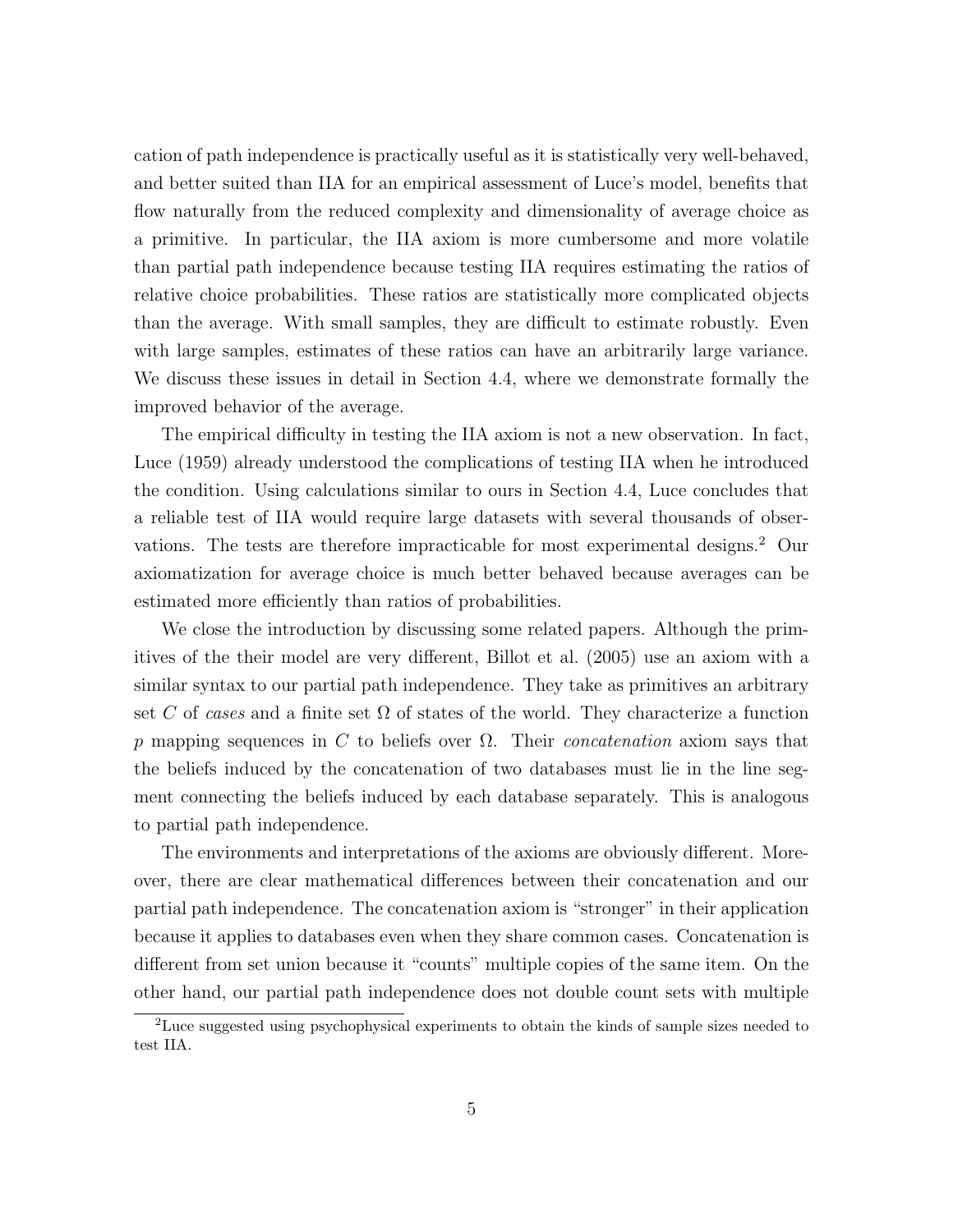cation of path independence is practically useful as it is statistically very well-behaved, and better suited than IIA for an empirical assessment of Luce's model, benefits that flow naturally from the reduced complexity and dimensionality of average choice as a primitive. In particular, the IIA axiom is more cumbersome and more volatile than partial path independence because testing IIA requires estimating the ratios of relative choice probabilities. These ratios are statistically more complicated objects than the average. With small samples, they are difficult to estimate robustly. Even with large samples, estimates of these ratios can have an arbitrarily large variance. We discuss these issues in detail in Section 4.4, where we demonstrate formally the improved behavior of the average.

The empirical difficulty in testing the IIA axiom is not a new observation. In fact, Luce (1959) already understood the complications of testing IIA when he introduced the condition. Using calculations similar to ours in Section 4.4, Luce concludes that a reliable test of IIA would require large datasets with several thousands of observations. The tests are therefore impracticable for most experimental designs.<sup>2</sup> Our axiomatization for average choice is much better behaved because averages can be estimated more efficiently than ratios of probabilities.

We close the introduction by discussing some related papers. Although the primitives of the their model are very different, Billot et al. (2005) use an axiom with a similar syntax to our partial path independence. They take as primitives an arbitrary set C of cases and a finite set  $\Omega$  of states of the world. They characterize a function p mapping sequences in C to beliefs over  $\Omega$ . Their *concatenation* axiom says that the beliefs induced by the concatenation of two databases must lie in the line segment connecting the beliefs induced by each database separately. This is analogous to partial path independence.

The environments and interpretations of the axioms are obviously different. Moreover, there are clear mathematical differences between their concatenation and our partial path independence. The concatenation axiom is "stronger" in their application because it applies to databases even when they share common cases. Concatenation is different from set union because it "counts" multiple copies of the same item. On the other hand, our partial path independence does not double count sets with multiple

<sup>2</sup>Luce suggested using psychophysical experiments to obtain the kinds of sample sizes needed to test IIA.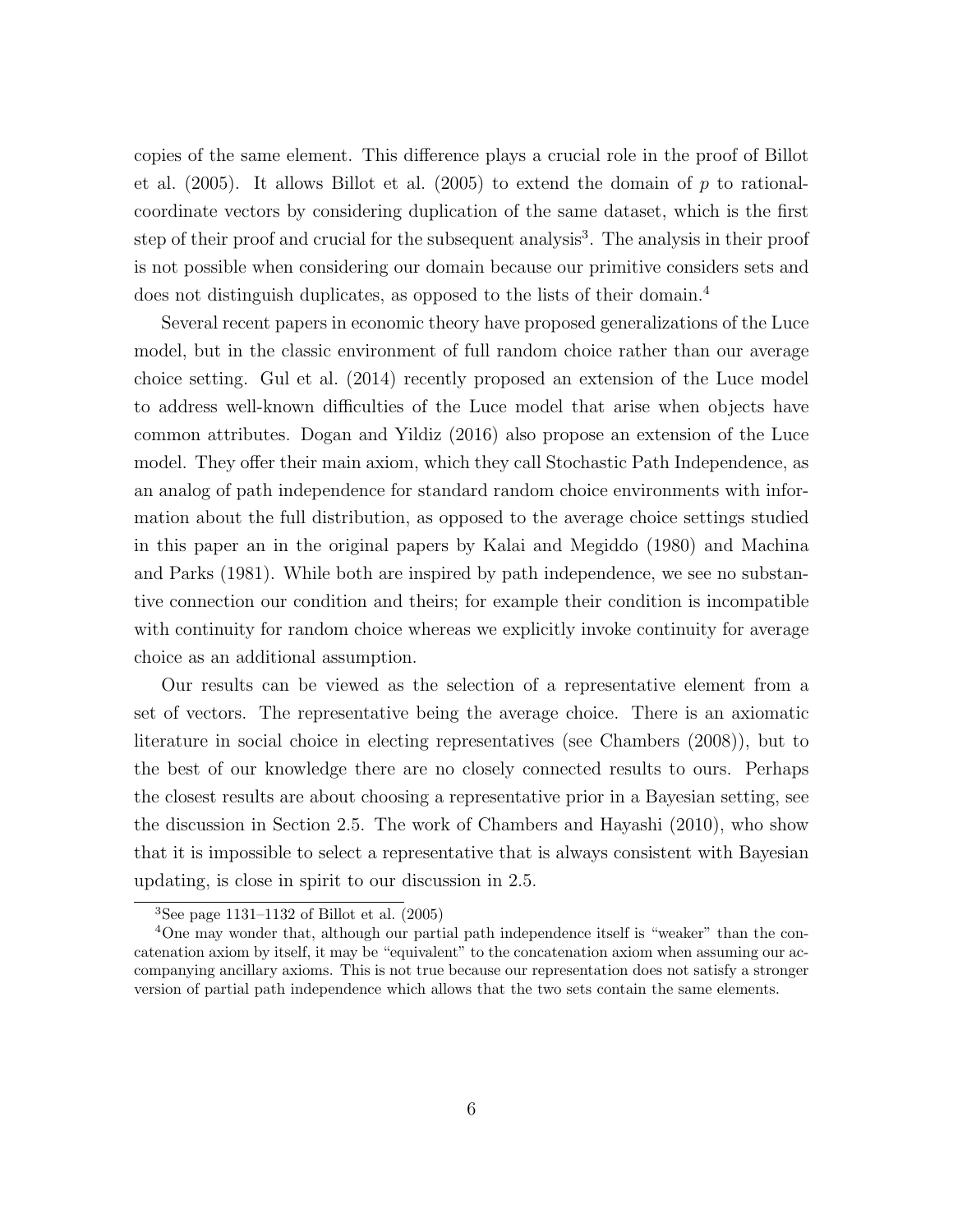copies of the same element. This difference plays a crucial role in the proof of Billot et al.  $(2005)$ . It allows Billot et al.  $(2005)$  to extend the domain of p to rationalcoordinate vectors by considering duplication of the same dataset, which is the first step of their proof and crucial for the subsequent analysis<sup>3</sup>. The analysis in their proof is not possible when considering our domain because our primitive considers sets and does not distinguish duplicates, as opposed to the lists of their domain.<sup>4</sup>

Several recent papers in economic theory have proposed generalizations of the Luce model, but in the classic environment of full random choice rather than our average choice setting. Gul et al. (2014) recently proposed an extension of the Luce model to address well-known difficulties of the Luce model that arise when objects have common attributes. Dogan and Yildiz (2016) also propose an extension of the Luce model. They offer their main axiom, which they call Stochastic Path Independence, as an analog of path independence for standard random choice environments with information about the full distribution, as opposed to the average choice settings studied in this paper an in the original papers by Kalai and Megiddo (1980) and Machina and Parks (1981). While both are inspired by path independence, we see no substantive connection our condition and theirs; for example their condition is incompatible with continuity for random choice whereas we explicitly invoke continuity for average choice as an additional assumption.

Our results can be viewed as the selection of a representative element from a set of vectors. The representative being the average choice. There is an axiomatic literature in social choice in electing representatives (see Chambers (2008)), but to the best of our knowledge there are no closely connected results to ours. Perhaps the closest results are about choosing a representative prior in a Bayesian setting, see the discussion in Section 2.5. The work of Chambers and Hayashi (2010), who show that it is impossible to select a representative that is always consistent with Bayesian updating, is close in spirit to our discussion in 2.5.

<sup>&</sup>lt;sup>3</sup>See page 1131–1132 of Billot et al.  $(2005)$ 

<sup>4</sup>One may wonder that, although our partial path independence itself is "weaker" than the concatenation axiom by itself, it may be "equivalent" to the concatenation axiom when assuming our accompanying ancillary axioms. This is not true because our representation does not satisfy a stronger version of partial path independence which allows that the two sets contain the same elements.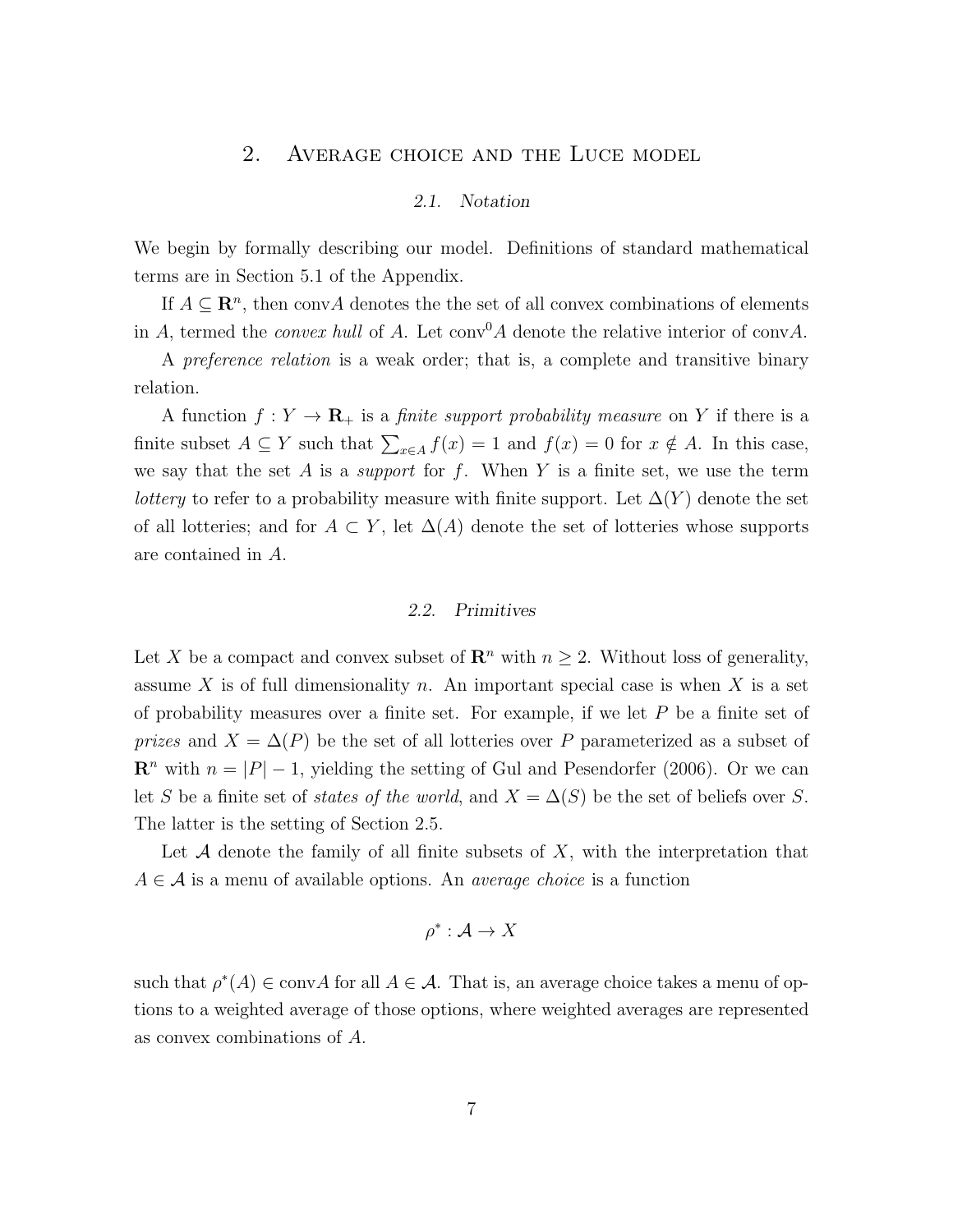## 2. Average choice and the Luce model

## 2.1. Notation

We begin by formally describing our model. Definitions of standard mathematical terms are in Section 5.1 of the Appendix.

If  $A \subseteq \mathbb{R}^n$ , then convA denotes the the set of all convex combinations of elements in A, termed the *convex hull* of A. Let  $conv^0A$  denote the relative interior of convA.

A preference relation is a weak order; that is, a complete and transitive binary relation.

A function  $f: Y \to \mathbf{R}_{+}$  is a *finite support probability measure* on Y if there is a finite subset  $A \subseteq Y$  such that  $\sum_{x \in A} f(x) = 1$  and  $f(x) = 0$  for  $x \notin A$ . In this case, we say that the set A is a *support* for  $f$ . When Y is a finite set, we use the term *lottery* to refer to a probability measure with finite support. Let  $\Delta(Y)$  denote the set of all lotteries; and for  $A \subset Y$ , let  $\Delta(A)$  denote the set of lotteries whose supports are contained in A.

#### 2.2. Primitives

Let X be a compact and convex subset of  $\mathbb{R}^n$  with  $n \geq 2$ . Without loss of generality, assume X is of full dimensionality n. An important special case is when X is a set of probability measures over a finite set. For example, if we let P be a finite set of *prizes* and  $X = \Delta(P)$  be the set of all lotteries over P parameterized as a subset of  $\mathbb{R}^n$  with  $n = |P| - 1$ , yielding the setting of Gul and Pesendorfer (2006). Or we can let S be a finite set of *states of the world*, and  $X = \Delta(S)$  be the set of beliefs over S. The latter is the setting of Section 2.5.

Let A denote the family of all finite subsets of  $X$ , with the interpretation that  $A \in \mathcal{A}$  is a menu of available options. An *average choice* is a function

$$
\rho^*: \mathcal{A} \to X
$$

such that  $\rho^*(A) \in \text{conv}(A)$  for all  $A \in \mathcal{A}$ . That is, an average choice takes a menu of options to a weighted average of those options, where weighted averages are represented as convex combinations of A.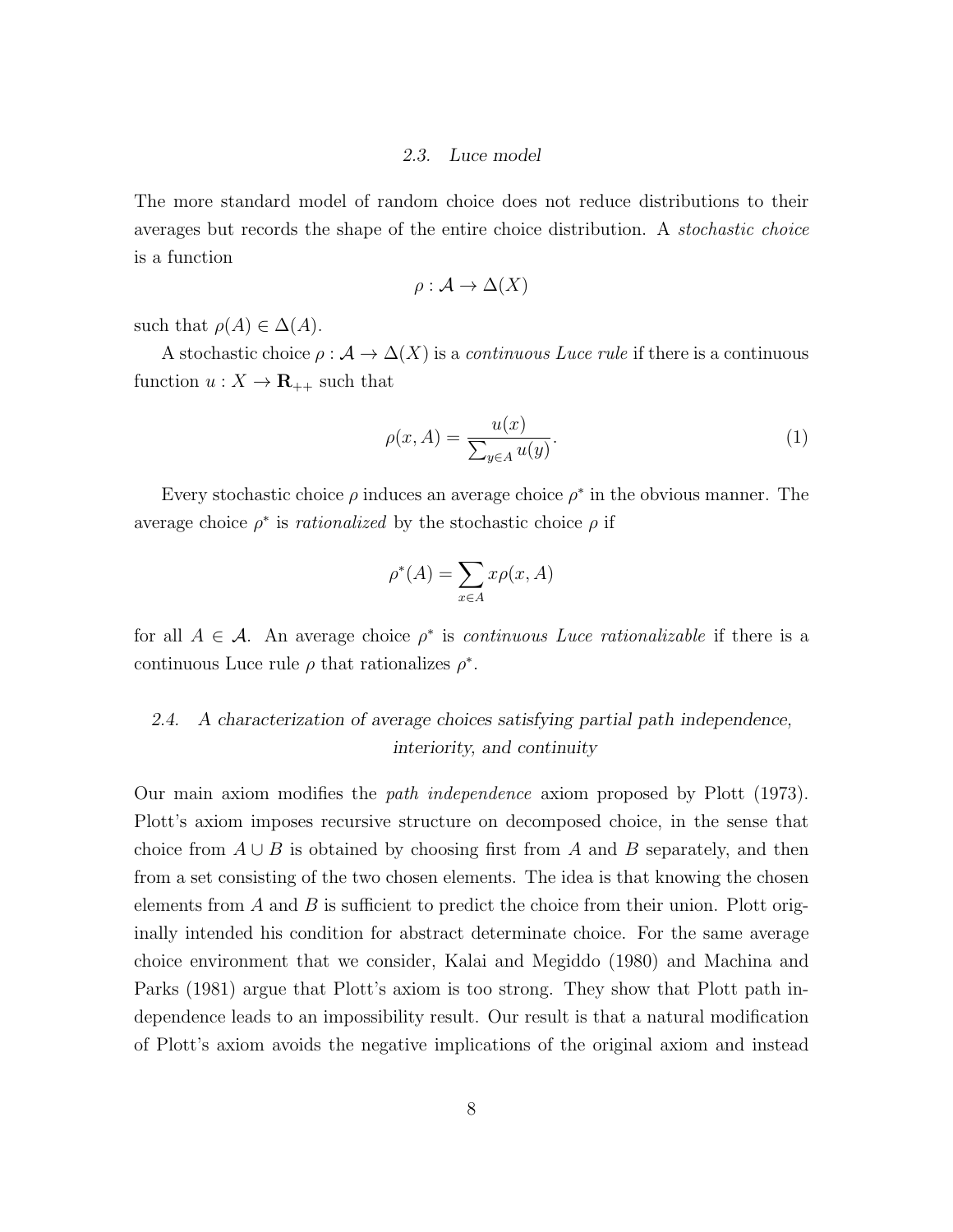#### 2.3. Luce model

The more standard model of random choice does not reduce distributions to their averages but records the shape of the entire choice distribution. A stochastic choice is a function

$$
\rho: \mathcal{A} \to \Delta(X)
$$

such that  $\rho(A) \in \Delta(A)$ .

A stochastic choice  $\rho : \mathcal{A} \to \Delta(X)$  is a *continuous Luce rule* if there is a continuous function  $u: X \to \mathbf{R}_{++}$  such that

$$
\rho(x, A) = \frac{u(x)}{\sum_{y \in A} u(y)}.\tag{1}
$$

Every stochastic choice  $\rho$  induces an average choice  $\rho^*$  in the obvious manner. The average choice  $\rho^*$  is *rationalized* by the stochastic choice  $\rho$  if

$$
\rho^*(A) = \sum_{x \in A} x \rho(x, A)
$$

for all  $A \in \mathcal{A}$ . An average choice  $\rho^*$  is *continuous Luce rationalizable* if there is a continuous Luce rule  $\rho$  that rationalizes  $\rho^*$ .

## 2.4. A characterization of average choices satisfying partial path independence, interiority, and continuity

Our main axiom modifies the path independence axiom proposed by Plott (1973). Plott's axiom imposes recursive structure on decomposed choice, in the sense that choice from  $A \cup B$  is obtained by choosing first from A and B separately, and then from a set consisting of the two chosen elements. The idea is that knowing the chosen elements from  $A$  and  $B$  is sufficient to predict the choice from their union. Plott originally intended his condition for abstract determinate choice. For the same average choice environment that we consider, Kalai and Megiddo (1980) and Machina and Parks (1981) argue that Plott's axiom is too strong. They show that Plott path independence leads to an impossibility result. Our result is that a natural modification of Plott's axiom avoids the negative implications of the original axiom and instead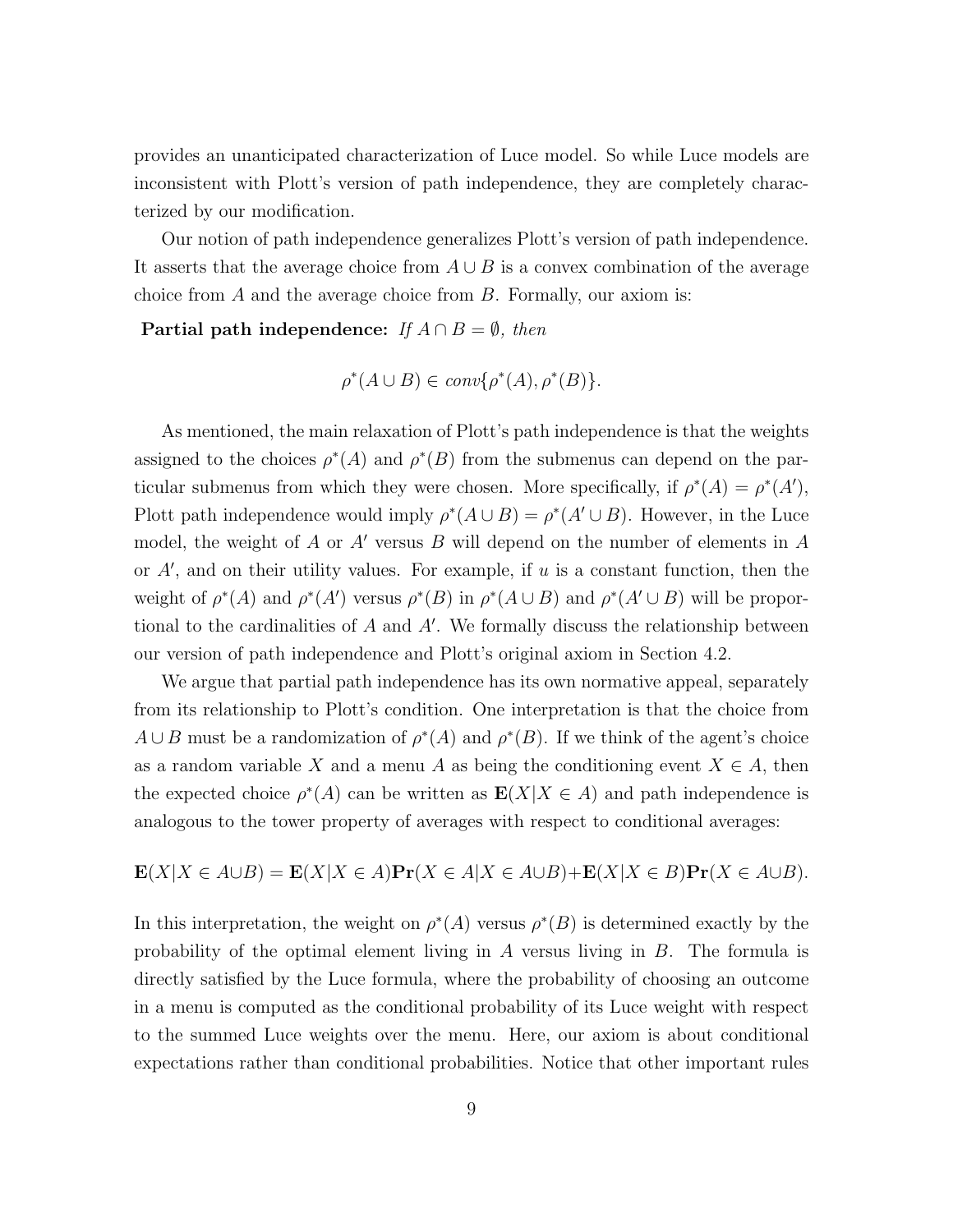provides an unanticipated characterization of Luce model. So while Luce models are inconsistent with Plott's version of path independence, they are completely characterized by our modification.

Our notion of path independence generalizes Plott's version of path independence. It asserts that the average choice from  $A \cup B$  is a convex combination of the average choice from A and the average choice from B. Formally, our axiom is:

Partial path independence: If  $A \cap B = \emptyset$ , then

$$
\rho^*(A \cup B) \in conv\{\rho^*(A), \rho^*(B)\}.
$$

As mentioned, the main relaxation of Plott's path independence is that the weights assigned to the choices  $\rho^*(A)$  and  $\rho^*(B)$  from the submenus can depend on the particular submenus from which they were chosen. More specifically, if  $\rho^*(A) = \rho^*(A')$ , Plott path independence would imply  $\rho^*(A \cup B) = \rho^*(A' \cup B)$ . However, in the Luce model, the weight of A or A' versus B will depend on the number of elements in A or  $A'$ , and on their utility values. For example, if  $u$  is a constant function, then the weight of  $\rho^*(A)$  and  $\rho^*(A')$  versus  $\rho^*(B)$  in  $\rho^*(A \cup B)$  and  $\rho^*(A' \cup B)$  will be proportional to the cardinalities of  $A$  and  $A'$ . We formally discuss the relationship between our version of path independence and Plott's original axiom in Section 4.2.

We argue that partial path independence has its own normative appeal, separately from its relationship to Plott's condition. One interpretation is that the choice from  $A \cup B$  must be a randomization of  $\rho^*(A)$  and  $\rho^*(B)$ . If we think of the agent's choice as a random variable X and a menu A as being the conditioning event  $X \in A$ , then the expected choice  $\rho^*(A)$  can be written as  $\mathbf{E}(X|X \in A)$  and path independence is analogous to the tower property of averages with respect to conditional averages:

$$
\mathbf{E}(X|X \in A \cup B) = \mathbf{E}(X|X \in A)\mathbf{Pr}(X \in A|X \in A \cup B) + \mathbf{E}(X|X \in B)\mathbf{Pr}(X \in A \cup B).
$$

In this interpretation, the weight on  $\rho^*(A)$  versus  $\rho^*(B)$  is determined exactly by the probability of the optimal element living in A versus living in B. The formula is directly satisfied by the Luce formula, where the probability of choosing an outcome in a menu is computed as the conditional probability of its Luce weight with respect to the summed Luce weights over the menu. Here, our axiom is about conditional expectations rather than conditional probabilities. Notice that other important rules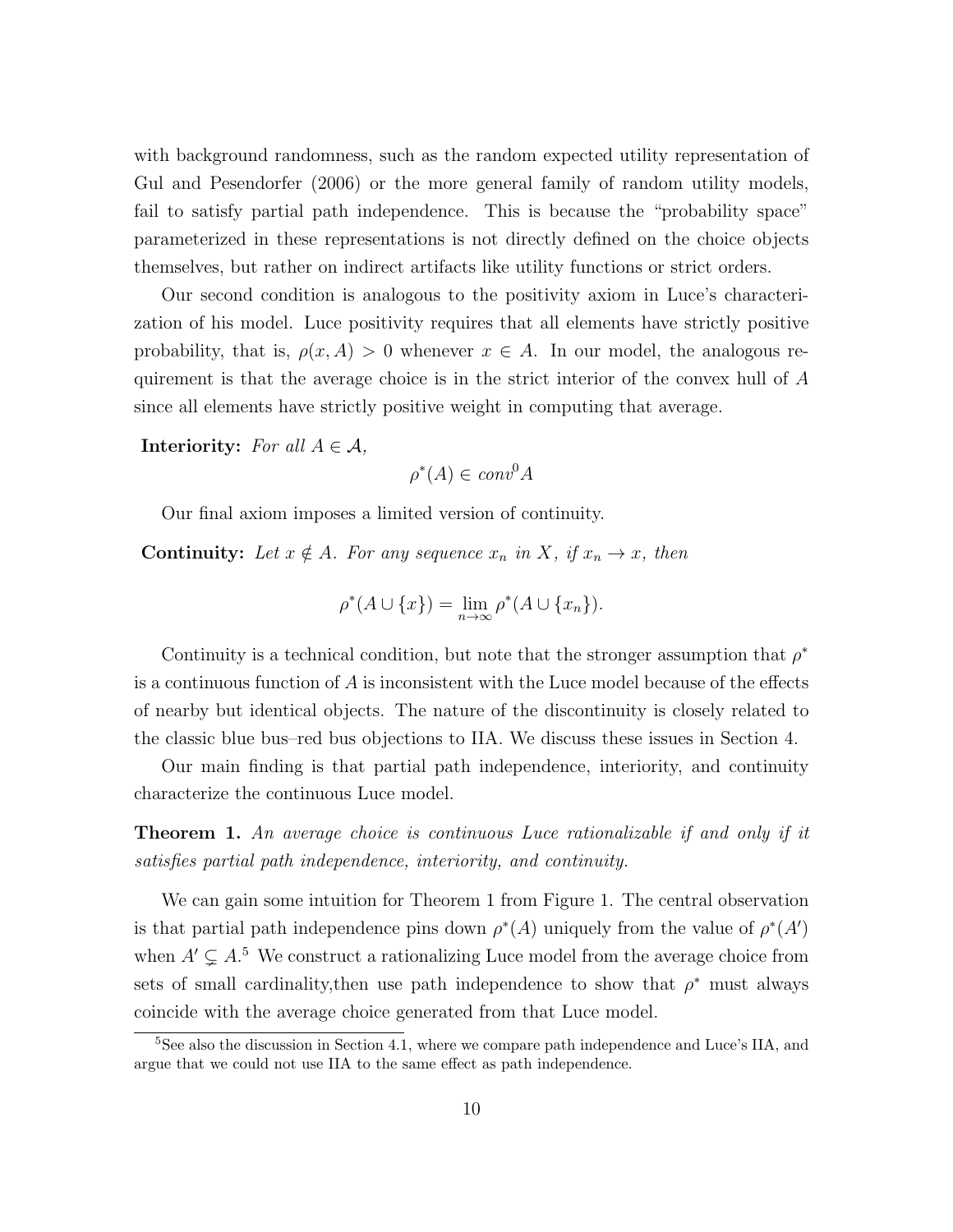with background randomness, such as the random expected utility representation of Gul and Pesendorfer (2006) or the more general family of random utility models, fail to satisfy partial path independence. This is because the "probability space" parameterized in these representations is not directly defined on the choice objects themselves, but rather on indirect artifacts like utility functions or strict orders.

Our second condition is analogous to the positivity axiom in Luce's characterization of his model. Luce positivity requires that all elements have strictly positive probability, that is,  $\rho(x, A) > 0$  whenever  $x \in A$ . In our model, the analogous requirement is that the average choice is in the strict interior of the convex hull of A since all elements have strictly positive weight in computing that average.

**Interiority:** For all  $A \in \mathcal{A}$ ,

 $\rho^*(A) \in conv^0 A$ 

Our final axiom imposes a limited version of continuity.

**Continuity:** Let  $x \notin A$ . For any sequence  $x_n$  in X, if  $x_n \to x$ , then

$$
\rho^*(A \cup \{x\}) = \lim_{n \to \infty} \rho^*(A \cup \{x_n\}).
$$

Continuity is a technical condition, but note that the stronger assumption that  $\rho^*$ is a continuous function of  $A$  is inconsistent with the Luce model because of the effects of nearby but identical objects. The nature of the discontinuity is closely related to the classic blue bus–red bus objections to IIA. We discuss these issues in Section 4.

Our main finding is that partial path independence, interiority, and continuity characterize the continuous Luce model.

Theorem 1. An average choice is continuous Luce rationalizable if and only if it satisfies partial path independence, interiority, and continuity.

We can gain some intuition for Theorem 1 from Figure 1. The central observation is that partial path independence pins down  $\rho^*(A)$  uniquely from the value of  $\rho^*(A')$ when  $A' \subsetneq A$ <sup>5</sup>. We construct a rationalizing Luce model from the average choice from sets of small cardinality, then use path independence to show that  $\rho^*$  must always coincide with the average choice generated from that Luce model.

<sup>&</sup>lt;sup>5</sup>See also the discussion in Section 4.1, where we compare path independence and Luce's IIA, and argue that we could not use IIA to the same effect as path independence.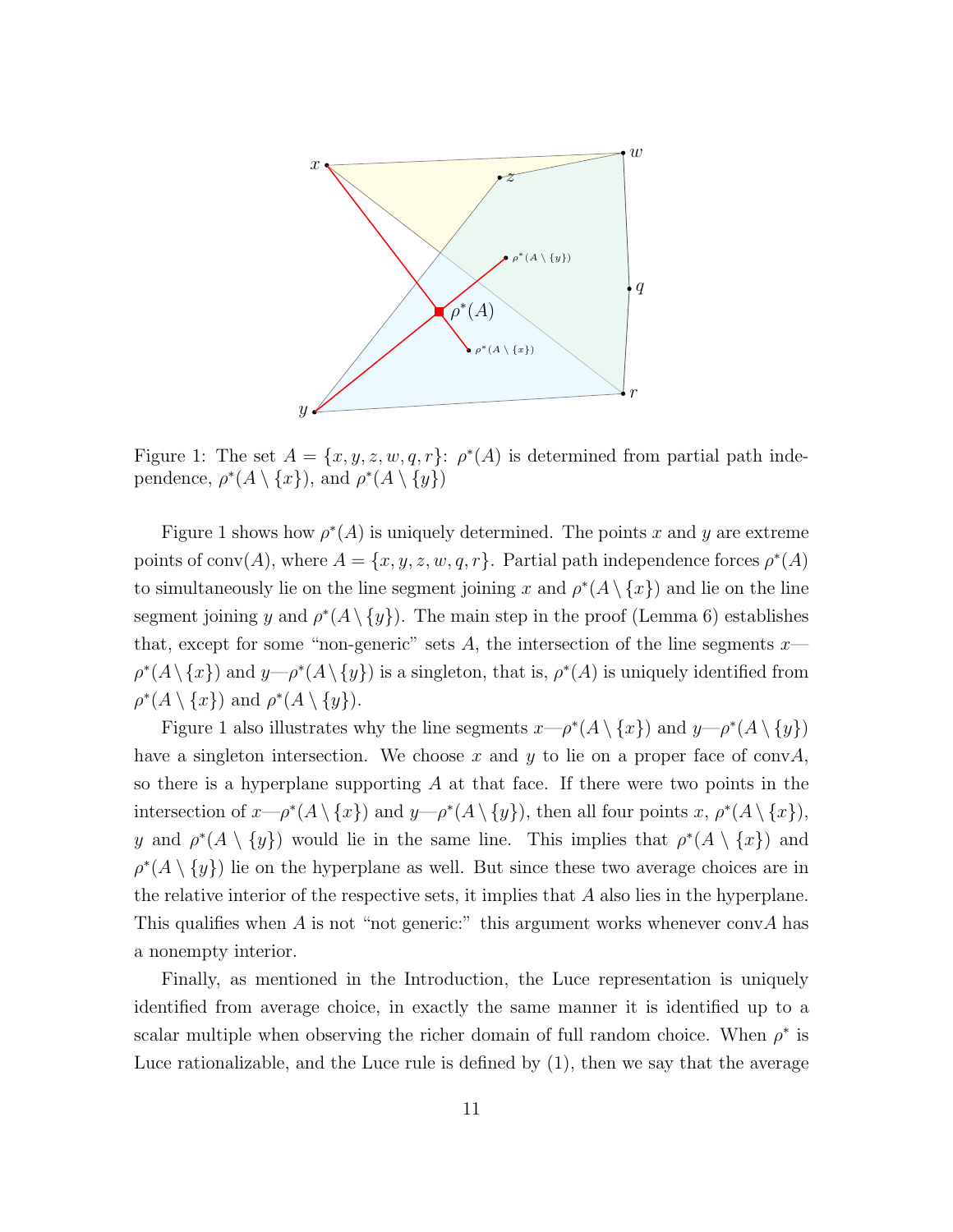

Figure 1: The set  $A = \{x, y, z, w, q, r\}$ :  $\rho^*(A)$  is determined from partial path independence,  $\rho^*(A \setminus \{x\})$ , and  $\rho^*(A \setminus \{y\})$ 

Figure 1 shows how  $\rho^*(A)$  is uniquely determined. The points x and y are extreme points of conv(A), where  $A = \{x, y, z, w, q, r\}$ . Partial path independence forces  $\rho^*(A)$ to simultaneously lie on the line segment joining x and  $\rho^*(A \setminus \{x\})$  and lie on the line segment joining y and  $\rho^*(A \setminus \{y\})$ . The main step in the proof (Lemma 6) establishes that, except for some "non-generic" sets A, the intersection of the line segments  $x \rho^*(A \setminus \{x\})$  and  $y \rightarrow \rho^*(A \setminus \{y\})$  is a singleton, that is,  $\rho^*(A)$  is uniquely identified from  $\rho^*(A \setminus \{x\})$  and  $\rho^*(A \setminus \{y\}).$ 

Figure 1 also illustrates why the line segments  $x \rightarrow p^*(A \setminus \{x\})$  and  $y \rightarrow p^*(A \setminus \{y\})$ have a singleton intersection. We choose x and y to lie on a proper face of conv $\overline{A}$ , so there is a hyperplane supporting  $\tilde{A}$  at that face. If there were two points in the intersection of  $x \rightarrow p^*(A \setminus \{x\})$  and  $y \rightarrow p^*(A \setminus \{y\})$ , then all four points  $x, p^*(A \setminus \{x\})$ , y and  $\rho^*(A \setminus \{y\})$  would lie in the same line. This implies that  $\rho^*(A \setminus \{x\})$  and  $\rho^*(A \setminus \{y\})$  lie on the hyperplane as well. But since these two average choices are in the relative interior of the respective sets, it implies that A also lies in the hyperplane. This qualifies when A is not "not generic:" this argument works whenever convA has a nonempty interior.

Finally, as mentioned in the Introduction, the Luce representation is uniquely identified from average choice, in exactly the same manner it is identified up to a scalar multiple when observing the richer domain of full random choice. When  $\rho^*$  is Luce rationalizable, and the Luce rule is defined by (1), then we say that the average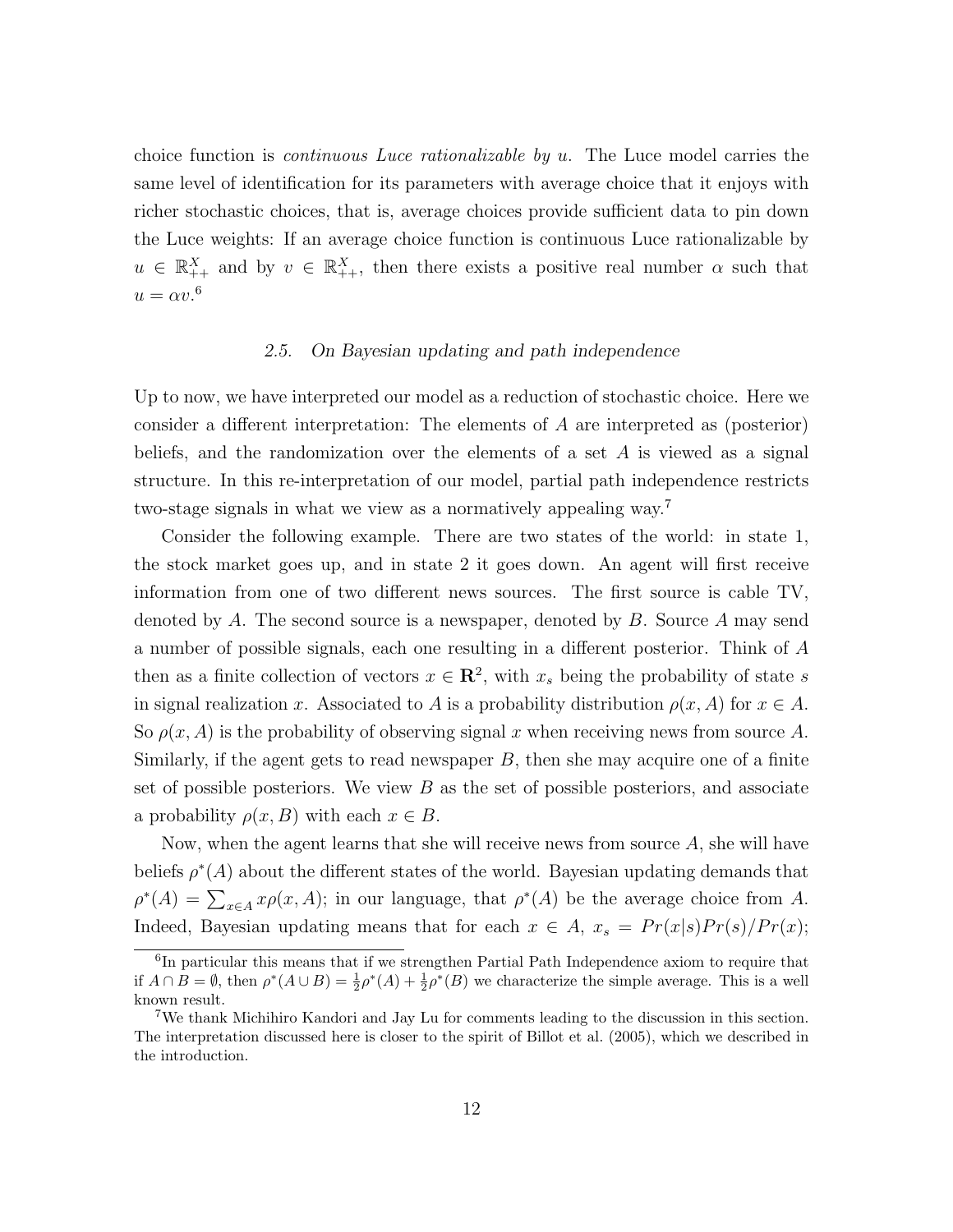choice function is continuous Luce rationalizable by u. The Luce model carries the same level of identification for its parameters with average choice that it enjoys with richer stochastic choices, that is, average choices provide sufficient data to pin down the Luce weights: If an average choice function is continuous Luce rationalizable by  $u \in \mathbb{R}_{++}^X$  and by  $v \in \mathbb{R}_{++}^X$ , then there exists a positive real number  $\alpha$  such that  $u = \alpha v^6$ 

### 2.5. On Bayesian updating and path independence

Up to now, we have interpreted our model as a reduction of stochastic choice. Here we consider a different interpretation: The elements of A are interpreted as (posterior) beliefs, and the randomization over the elements of a set  $A$  is viewed as a signal structure. In this re-interpretation of our model, partial path independence restricts two-stage signals in what we view as a normatively appealing way.<sup>7</sup>

Consider the following example. There are two states of the world: in state 1, the stock market goes up, and in state 2 it goes down. An agent will first receive information from one of two different news sources. The first source is cable TV, denoted by A. The second source is a newspaper, denoted by  $B$ . Source A may send a number of possible signals, each one resulting in a different posterior. Think of A then as a finite collection of vectors  $x \in \mathbb{R}^2$ , with  $x_s$  being the probability of state s in signal realization x. Associated to A is a probability distribution  $\rho(x, A)$  for  $x \in A$ . So  $\rho(x, A)$  is the probability of observing signal x when receiving news from source A. Similarly, if the agent gets to read newspaper  $B$ , then she may acquire one of a finite set of possible posteriors. We view  $B$  as the set of possible posteriors, and associate a probability  $\rho(x, B)$  with each  $x \in B$ .

Now, when the agent learns that she will receive news from source  $A$ , she will have beliefs  $\rho^*(A)$  about the different states of the world. Bayesian updating demands that  $\rho^*(A) = \sum_{x \in A} x \rho(x, A)$ ; in our language, that  $\rho^*(A)$  be the average choice from A. Indeed, Bayesian updating means that for each  $x \in A$ ,  $x_s = Pr(x|s)Pr(s)/Pr(x)$ ;

<sup>6</sup> In particular this means that if we strengthen Partial Path Independence axiom to require that if  $A \cap B = \emptyset$ , then  $\rho^*(A \cup B) = \frac{1}{2}\rho^*(A) + \frac{1}{2}\rho^*(B)$  we characterize the simple average. This is a well known result.

<sup>7</sup>We thank Michihiro Kandori and Jay Lu for comments leading to the discussion in this section. The interpretation discussed here is closer to the spirit of Billot et al. (2005), which we described in the introduction.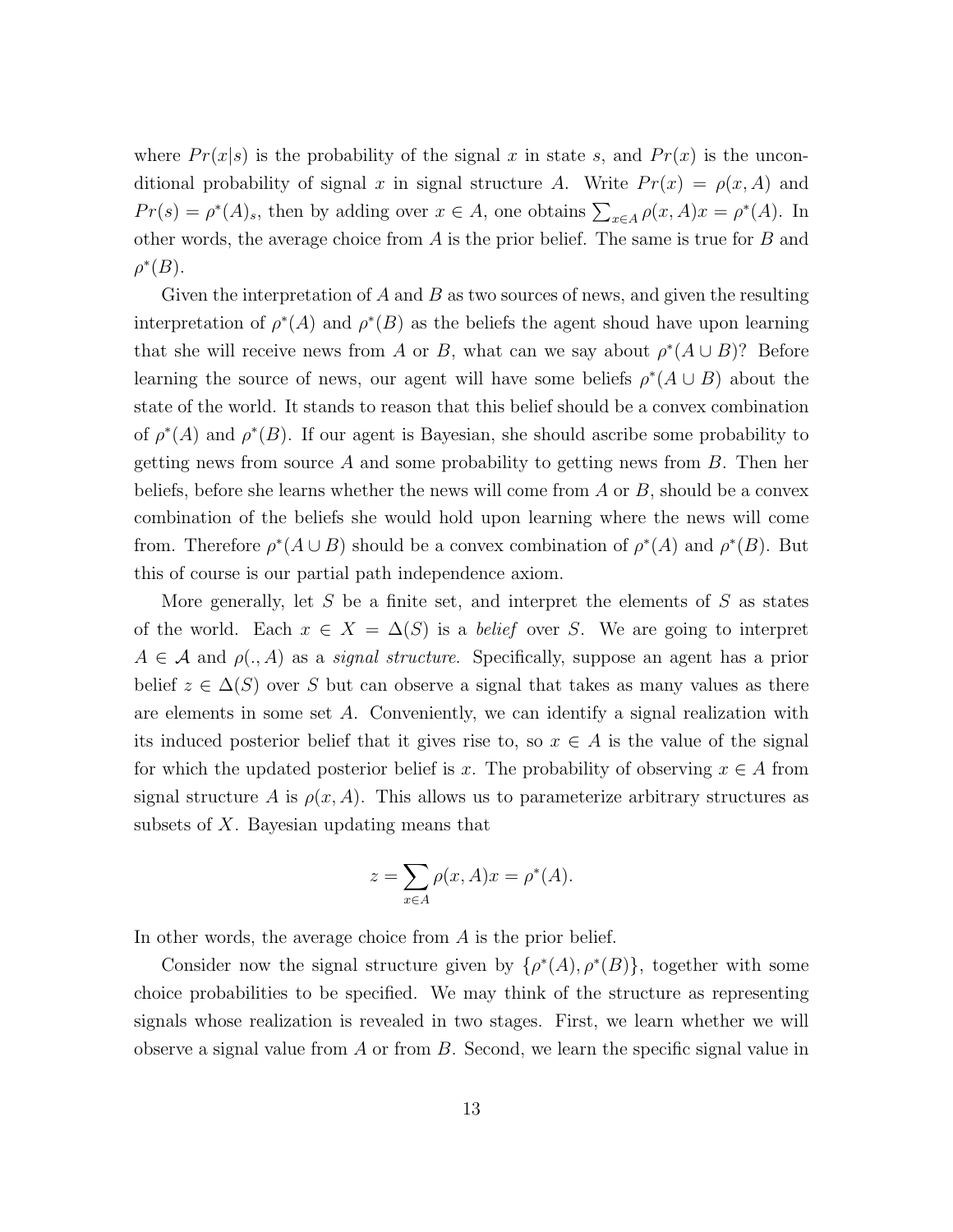where  $Pr(x|s)$  is the probability of the signal x in state s, and  $Pr(x)$  is the unconditional probability of signal x in signal structure A. Write  $Pr(x) = \rho(x, A)$  and  $Pr(s) = \rho^*(A)_s$ , then by adding over  $x \in A$ , one obtains  $\sum_{x \in A} \rho(x, A)x = \rho^*(A)$ . In other words, the average choice from A is the prior belief. The same is true for B and  $\rho^*(B)$ .

Given the interpretation of A and B as two sources of news, and given the resulting interpretation of  $\rho^*(A)$  and  $\rho^*(B)$  as the beliefs the agent shoud have upon learning that she will receive news from A or B, what can we say about  $\rho^*(A \cup B)$ ? Before learning the source of news, our agent will have some beliefs  $\rho^*(A \cup B)$  about the state of the world. It stands to reason that this belief should be a convex combination of  $\rho^*(A)$  and  $\rho^*(B)$ . If our agent is Bayesian, she should ascribe some probability to getting news from source A and some probability to getting news from  $B$ . Then her beliefs, before she learns whether the news will come from  $A$  or  $B$ , should be a convex combination of the beliefs she would hold upon learning where the news will come from. Therefore  $\rho^*(A \cup B)$  should be a convex combination of  $\rho^*(A)$  and  $\rho^*(B)$ . But this of course is our partial path independence axiom.

More generally, let  $S$  be a finite set, and interpret the elements of  $S$  as states of the world. Each  $x \in X = \Delta(S)$  is a *belief* over S. We are going to interpret  $A \in \mathcal{A}$  and  $\rho(., A)$  as a *signal structure*. Specifically, suppose an agent has a prior belief  $z \in \Delta(S)$  over S but can observe a signal that takes as many values as there are elements in some set A. Conveniently, we can identify a signal realization with its induced posterior belief that it gives rise to, so  $x \in A$  is the value of the signal for which the updated posterior belief is x. The probability of observing  $x \in A$  from signal structure A is  $\rho(x, A)$ . This allows us to parameterize arbitrary structures as subsets of X. Bayesian updating means that

$$
z = \sum_{x \in A} \rho(x, A)x = \rho^*(A).
$$

In other words, the average choice from A is the prior belief.

Consider now the signal structure given by  $\{\rho^*(A), \rho^*(B)\}\$ , together with some choice probabilities to be specified. We may think of the structure as representing signals whose realization is revealed in two stages. First, we learn whether we will observe a signal value from  $A$  or from  $B$ . Second, we learn the specific signal value in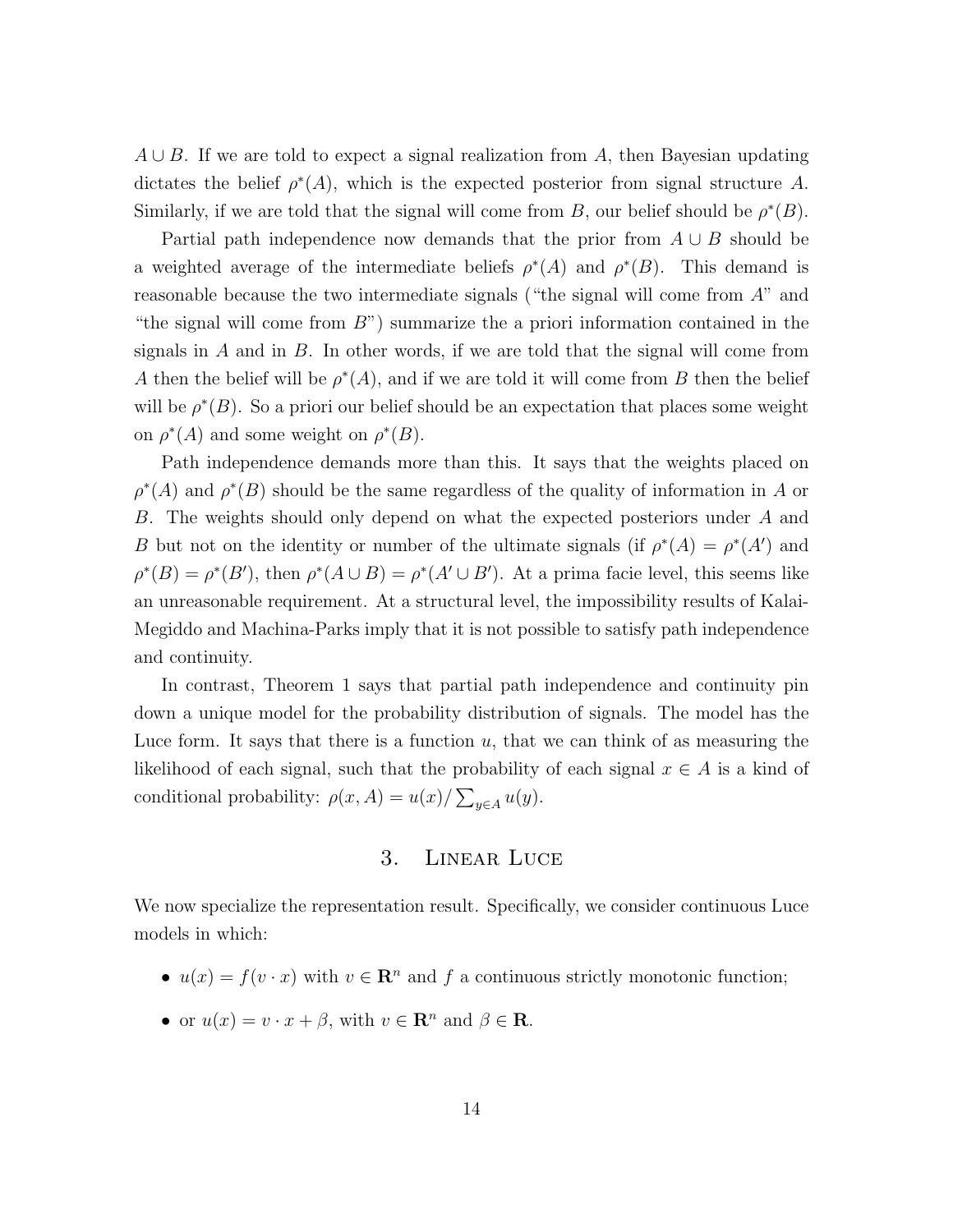$A \cup B$ . If we are told to expect a signal realization from A, then Bayesian updating dictates the belief  $\rho^*(A)$ , which is the expected posterior from signal structure A. Similarly, if we are told that the signal will come from B, our belief should be  $\rho^*(B)$ .

Partial path independence now demands that the prior from  $A \cup B$  should be a weighted average of the intermediate beliefs  $\rho^*(A)$  and  $\rho^*(B)$ . This demand is reasonable because the two intermediate signals ("the signal will come from A" and "the signal will come from  $B$ ") summarize the a priori information contained in the signals in  $A$  and in  $B$ . In other words, if we are told that the signal will come from A then the belief will be  $\rho^*(A)$ , and if we are told it will come from B then the belief will be  $\rho^*(B)$ . So a priori our belief should be an expectation that places some weight on  $\rho^*(A)$  and some weight on  $\rho^*(B)$ .

Path independence demands more than this. It says that the weights placed on  $\rho^*(A)$  and  $\rho^*(B)$  should be the same regardless of the quality of information in A or B. The weights should only depend on what the expected posteriors under A and B but not on the identity or number of the ultimate signals (if  $\rho^*(A) = \rho^*(A')$  and  $\rho^*(B) = \rho^*(B')$ , then  $\rho^*(A \cup B) = \rho^*(A' \cup B')$ . At a prima facie level, this seems like an unreasonable requirement. At a structural level, the impossibility results of Kalai-Megiddo and Machina-Parks imply that it is not possible to satisfy path independence and continuity.

In contrast, Theorem 1 says that partial path independence and continuity pin down a unique model for the probability distribution of signals. The model has the Luce form. It says that there is a function  $u$ , that we can think of as measuring the likelihood of each signal, such that the probability of each signal  $x \in A$  is a kind of conditional probability:  $\rho(x, A) = u(x) / \sum_{y \in A} u(y)$ .

## 3. Linear Luce

We now specialize the representation result. Specifically, we consider continuous Luce models in which:

- $u(x) = f(v \cdot x)$  with  $v \in \mathbb{R}^n$  and  $f$  a continuous strictly monotonic function;
- or  $u(x) = v \cdot x + \beta$ , with  $v \in \mathbb{R}^n$  and  $\beta \in \mathbb{R}$ .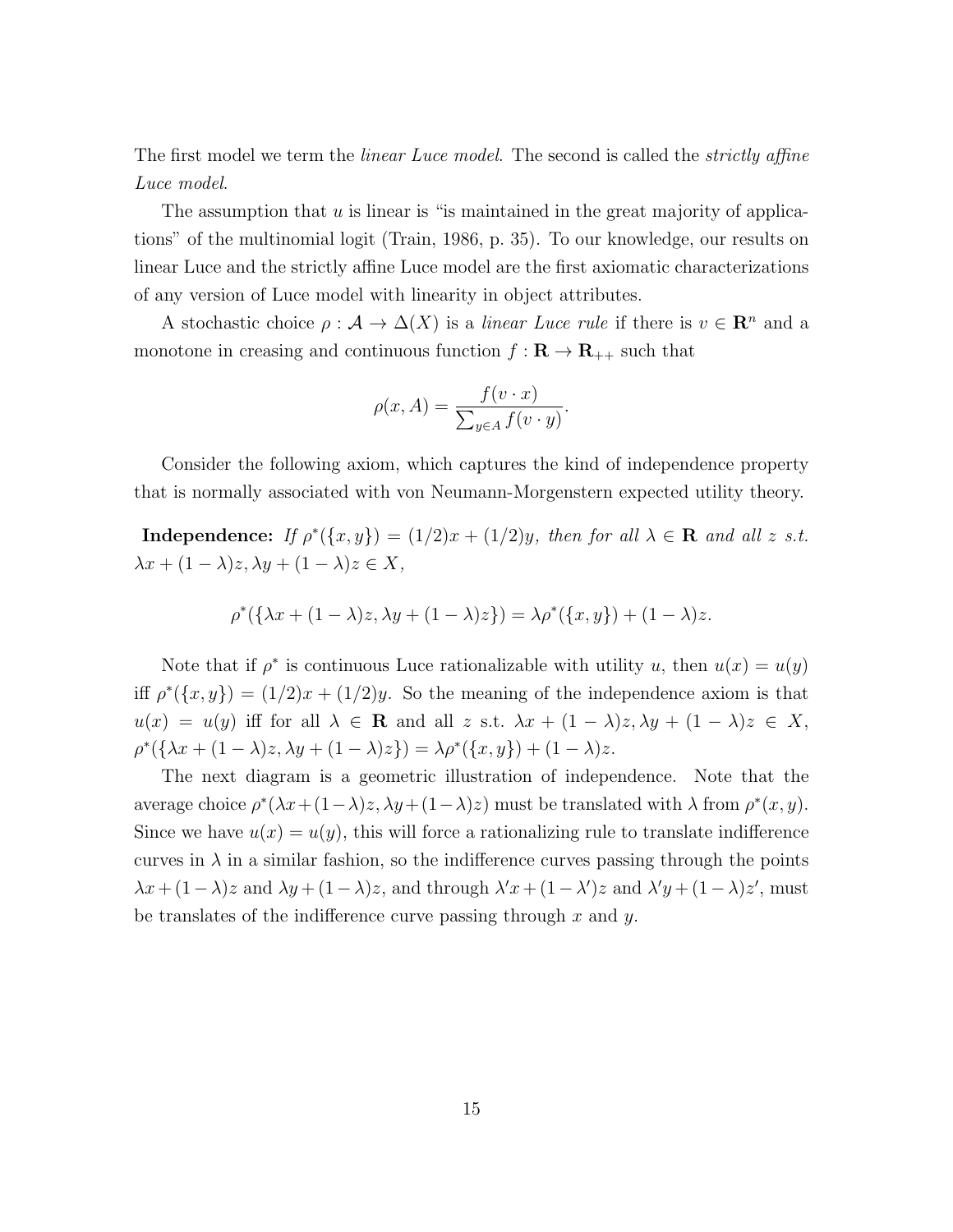The first model we term the *linear Luce model*. The second is called the *strictly affine* Luce model.

The assumption that  $u$  is linear is "is maintained in the great majority of applications" of the multinomial logit (Train, 1986, p. 35). To our knowledge, our results on linear Luce and the strictly affine Luce model are the first axiomatic characterizations of any version of Luce model with linearity in object attributes.

A stochastic choice  $\rho : \mathcal{A} \to \Delta(X)$  is a *linear Luce rule* if there is  $v \in \mathbb{R}^n$  and a monotone in creasing and continuous function  $f: \mathbf{R} \to \mathbf{R}_{++}$  such that

$$
\rho(x, A) = \frac{f(v \cdot x)}{\sum_{y \in A} f(v \cdot y)}.
$$

Consider the following axiom, which captures the kind of independence property that is normally associated with von Neumann-Morgenstern expected utility theory.

**Independence:** If  $\rho^*(\{x, y\}) = (1/2)x + (1/2)y$ , then for all  $\lambda \in \mathbb{R}$  and all z s.t.  $\lambda x + (1 - \lambda)z, \lambda y + (1 - \lambda)z \in X,$ 

$$
\rho^*(\{\lambda x + (1 - \lambda)z, \lambda y + (1 - \lambda)z\}) = \lambda \rho^*(\{x, y\}) + (1 - \lambda)z.
$$

Note that if  $\rho^*$  is continuous Luce rationalizable with utility u, then  $u(x) = u(y)$ iff  $\rho^*(\{x,y\}) = (1/2)x + (1/2)y$ . So the meaning of the independence axiom is that  $u(x) = u(y)$  iff for all  $\lambda \in \mathbf{R}$  and all z s.t.  $\lambda x + (1 - \lambda)z, \lambda y + (1 - \lambda)z \in X$ ,  $\rho^*(\{\lambda x + (1-\lambda)z, \lambda y + (1-\lambda)z\}) = \lambda \rho^*(\{x, y\}) + (1-\lambda)z.$ 

The next diagram is a geometric illustration of independence. Note that the average choice  $\rho^*(\lambda x + (1 - \lambda)z, \lambda y + (1 - \lambda)z)$  must be translated with  $\lambda$  from  $\rho^*(x, y)$ . Since we have  $u(x) = u(y)$ , this will force a rationalizing rule to translate indifference curves in  $\lambda$  in a similar fashion, so the indifference curves passing through the points  $\lambda x + (1 - \lambda)z$  and  $\lambda y + (1 - \lambda)z$ , and through  $\lambda' x + (1 - \lambda')z$  and  $\lambda' y + (1 - \lambda)z'$ , must be translates of the indifference curve passing through  $x$  and  $y$ .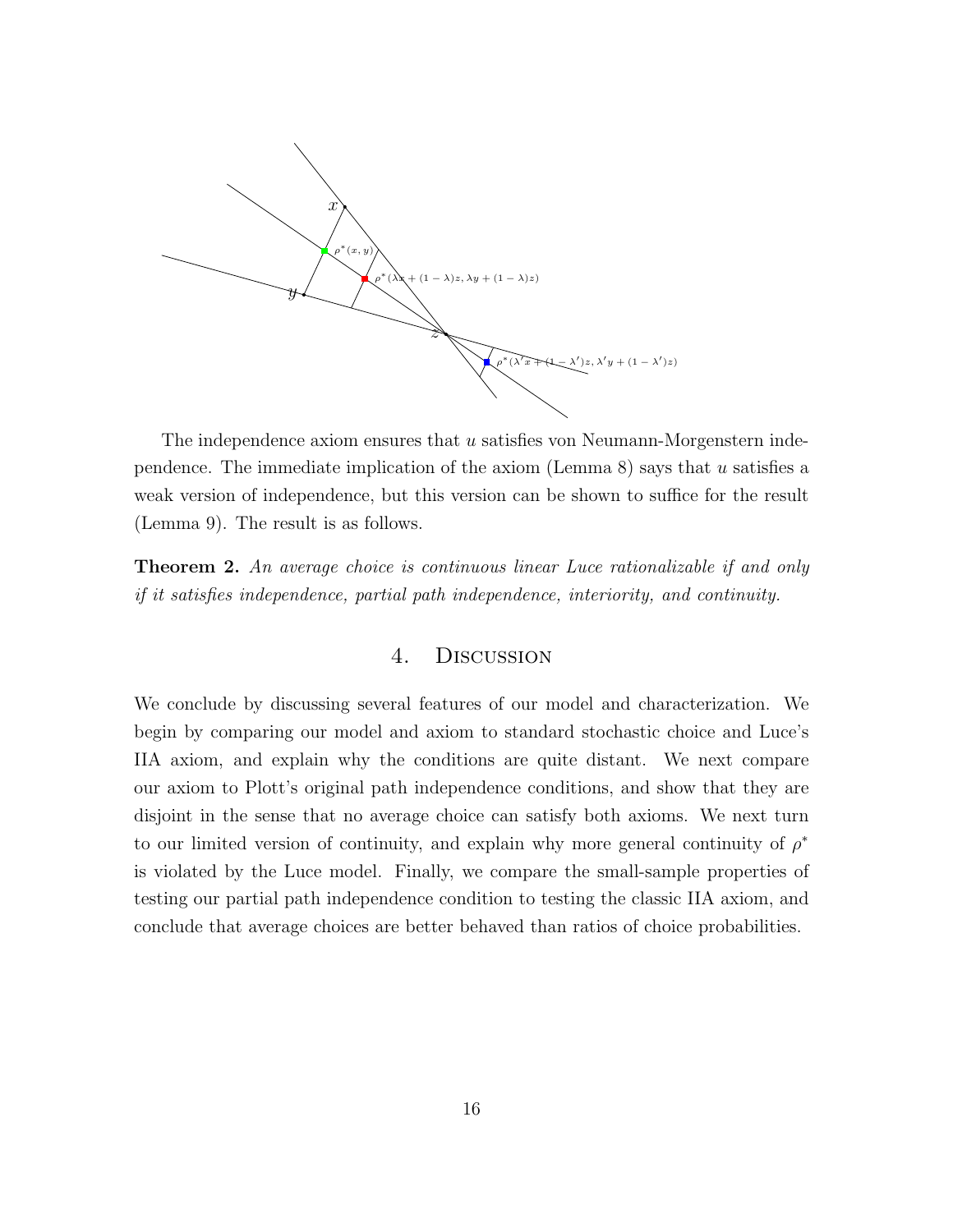

The independence axiom ensures that  $u$  satisfies von Neumann-Morgenstern independence. The immediate implication of the axiom (Lemma 8) says that  $u$  satisfies a weak version of independence, but this version can be shown to suffice for the result (Lemma 9). The result is as follows.

Theorem 2. An average choice is continuous linear Luce rationalizable if and only if it satisfies independence, partial path independence, interiority, and continuity.

## 4. Discussion

We conclude by discussing several features of our model and characterization. We begin by comparing our model and axiom to standard stochastic choice and Luce's IIA axiom, and explain why the conditions are quite distant. We next compare our axiom to Plott's original path independence conditions, and show that they are disjoint in the sense that no average choice can satisfy both axioms. We next turn to our limited version of continuity, and explain why more general continuity of  $\rho^*$ is violated by the Luce model. Finally, we compare the small-sample properties of testing our partial path independence condition to testing the classic IIA axiom, and conclude that average choices are better behaved than ratios of choice probabilities.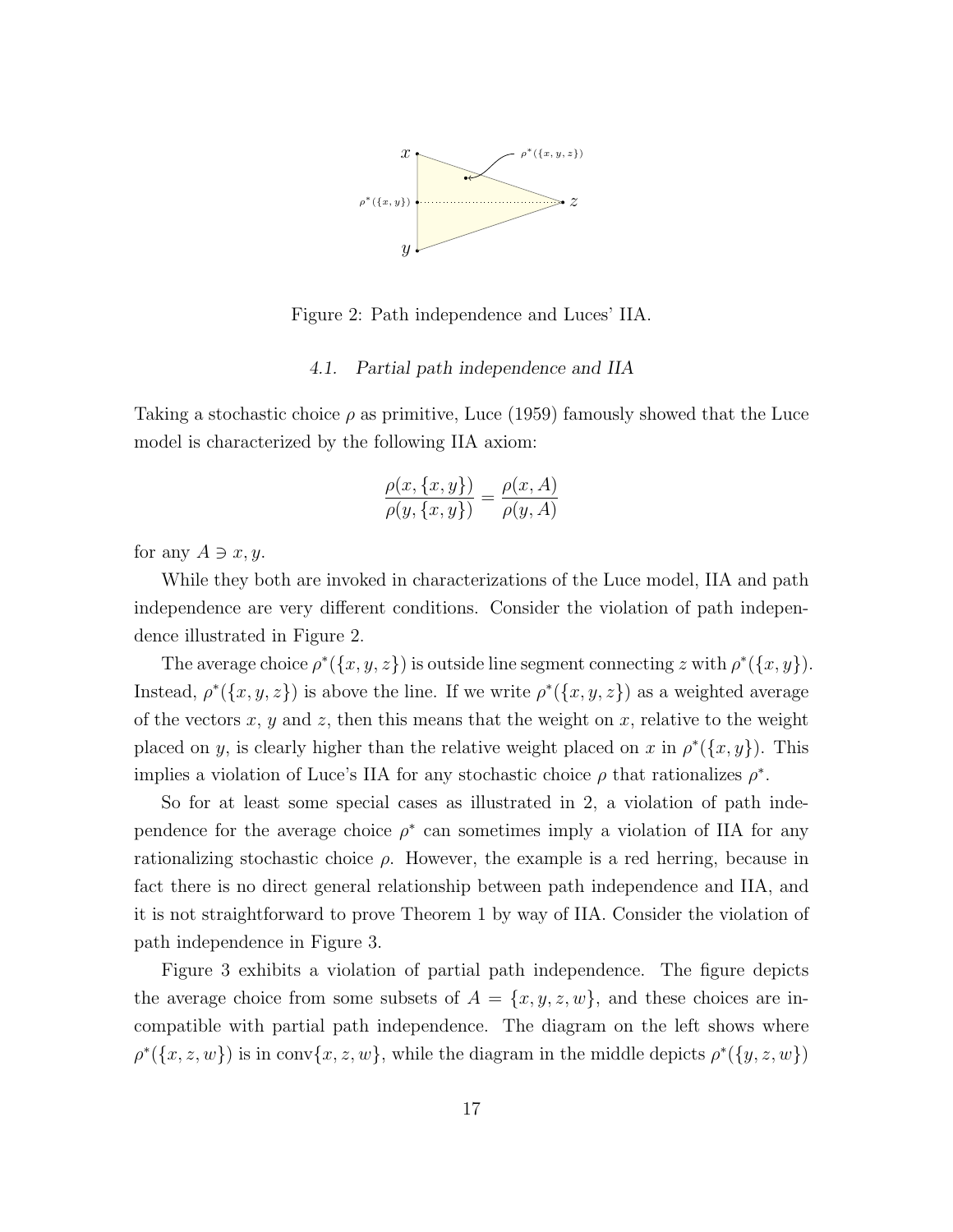

Figure 2: Path independence and Luces' IIA.

#### 4.1. Partial path independence and IIA

Taking a stochastic choice  $\rho$  as primitive, Luce (1959) famously showed that the Luce model is characterized by the following IIA axiom:

$$
\frac{\rho(x,\{x,y\})}{\rho(y,\{x,y\})} = \frac{\rho(x,A)}{\rho(y,A)}
$$

for any  $A \ni x, y$ .

While they both are invoked in characterizations of the Luce model, IIA and path independence are very different conditions. Consider the violation of path independence illustrated in Figure 2.

The average choice  $\rho^*(\{x, y, z\})$  is outside line segment connecting z with  $\rho^*(\{x, y\})$ . Instead,  $\rho^*(\{x, y, z\})$  is above the line. If we write  $\rho^*(\{x, y, z\})$  as a weighted average of the vectors x, y and z, then this means that the weight on x, relative to the weight placed on y, is clearly higher than the relative weight placed on x in  $\rho^*(\{x, y\})$ . This implies a violation of Luce's IIA for any stochastic choice  $\rho$  that rationalizes  $\rho^*$ .

So for at least some special cases as illustrated in 2, a violation of path independence for the average choice  $\rho^*$  can sometimes imply a violation of IIA for any rationalizing stochastic choice  $\rho$ . However, the example is a red herring, because in fact there is no direct general relationship between path independence and IIA, and it is not straightforward to prove Theorem 1 by way of IIA. Consider the violation of path independence in Figure 3.

Figure 3 exhibits a violation of partial path independence. The figure depicts the average choice from some subsets of  $A = \{x, y, z, w\}$ , and these choices are incompatible with partial path independence. The diagram on the left shows where  $\rho^*(\{x, z, w\})$  is in conv $\{x, z, w\}$ , while the diagram in the middle depicts  $\rho^*(\{y, z, w\})$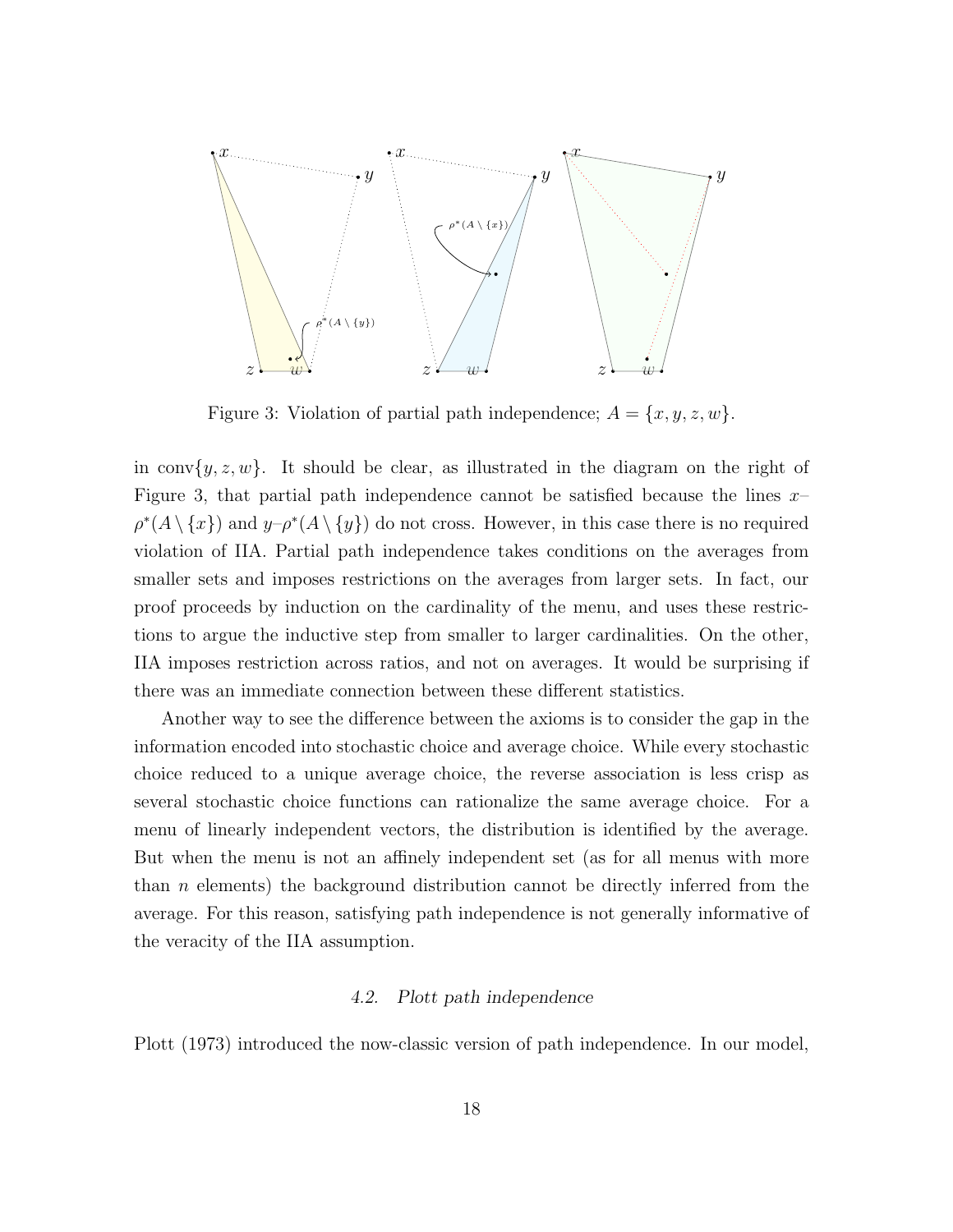

Figure 3: Violation of partial path independence;  $A = \{x, y, z, w\}.$ 

in conv $\{y, z, w\}$ . It should be clear, as illustrated in the diagram on the right of Figure 3, that partial path independence cannot be satisfied because the lines  $x \rho^*(A \setminus \{x\})$  and  $y-\rho^*(A \setminus \{y\})$  do not cross. However, in this case there is no required violation of IIA. Partial path independence takes conditions on the averages from smaller sets and imposes restrictions on the averages from larger sets. In fact, our proof proceeds by induction on the cardinality of the menu, and uses these restrictions to argue the inductive step from smaller to larger cardinalities. On the other, IIA imposes restriction across ratios, and not on averages. It would be surprising if there was an immediate connection between these different statistics.

Another way to see the difference between the axioms is to consider the gap in the information encoded into stochastic choice and average choice. While every stochastic choice reduced to a unique average choice, the reverse association is less crisp as several stochastic choice functions can rationalize the same average choice. For a menu of linearly independent vectors, the distribution is identified by the average. But when the menu is not an affinely independent set (as for all menus with more than n elements) the background distribution cannot be directly inferred from the average. For this reason, satisfying path independence is not generally informative of the veracity of the IIA assumption.

#### 4.2. Plott path independence

Plott (1973) introduced the now-classic version of path independence. In our model,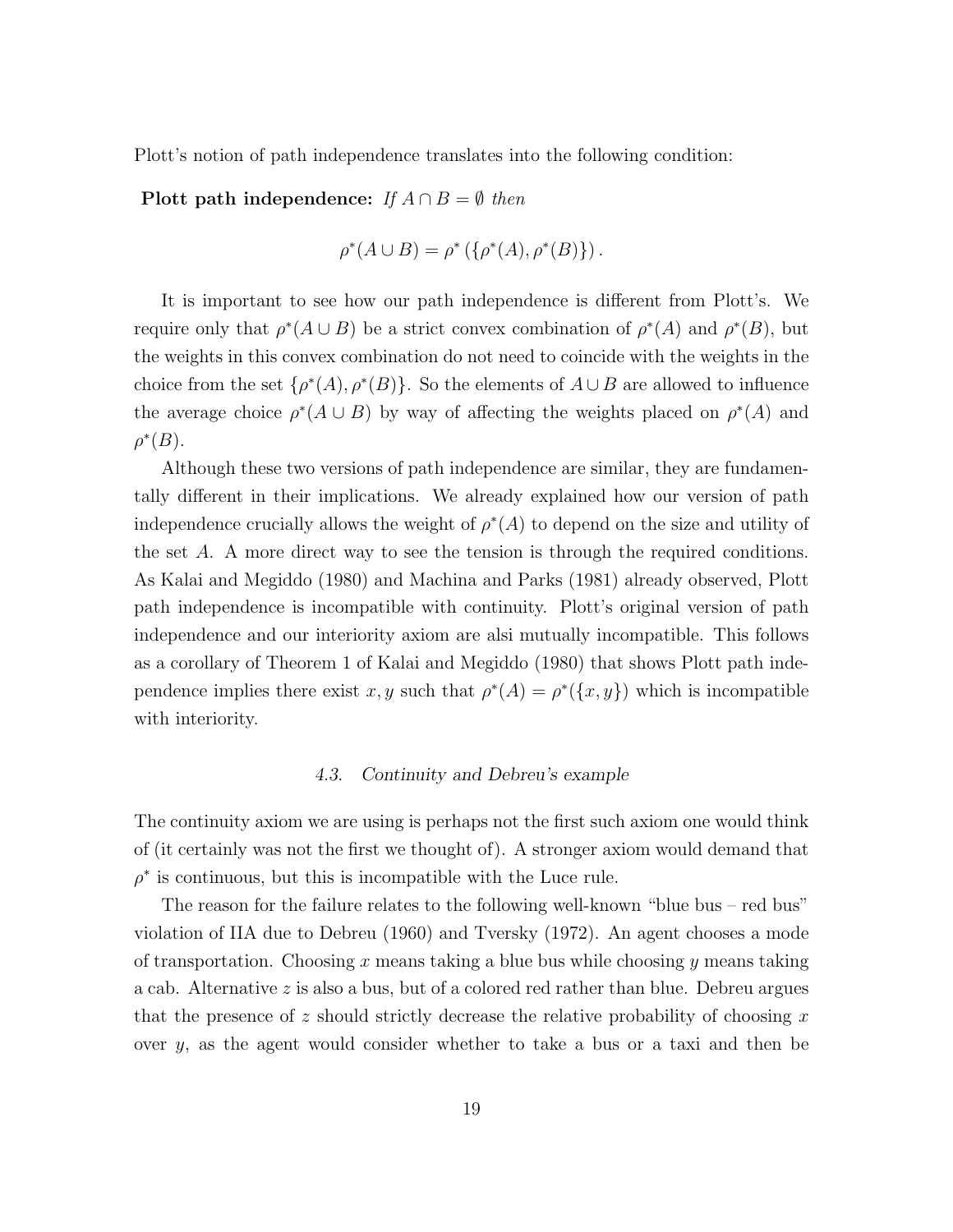Plott's notion of path independence translates into the following condition:

Plott path independence: If  $A \cap B = \emptyset$  then

$$
\rho^*(A \cup B) = \rho^* (\{\rho^*(A), \rho^*(B)\}).
$$

It is important to see how our path independence is different from Plott's. We require only that  $\rho^*(A \cup B)$  be a strict convex combination of  $\rho^*(A)$  and  $\rho^*(B)$ , but the weights in this convex combination do not need to coincide with the weights in the choice from the set  $\{\rho^*(A), \rho^*(B)\}$ . So the elements of  $A \cup B$  are allowed to influence the average choice  $\rho^*(A \cup B)$  by way of affecting the weights placed on  $\rho^*(A)$  and  $\rho^*(B)$ .

Although these two versions of path independence are similar, they are fundamentally different in their implications. We already explained how our version of path independence crucially allows the weight of  $\rho^*(A)$  to depend on the size and utility of the set A. A more direct way to see the tension is through the required conditions. As Kalai and Megiddo (1980) and Machina and Parks (1981) already observed, Plott path independence is incompatible with continuity. Plott's original version of path independence and our interiority axiom are alsi mutually incompatible. This follows as a corollary of Theorem 1 of Kalai and Megiddo (1980) that shows Plott path independence implies there exist x, y such that  $\rho^*(A) = \rho^*(\{x, y\})$  which is incompatible with interiority.

#### 4.3. Continuity and Debreu's example

The continuity axiom we are using is perhaps not the first such axiom one would think of (it certainly was not the first we thought of). A stronger axiom would demand that  $\rho^*$  is continuous, but this is incompatible with the Luce rule.

The reason for the failure relates to the following well-known "blue bus – red bus" violation of IIA due to Debreu (1960) and Tversky (1972). An agent chooses a mode of transportation. Choosing x means taking a blue bus while choosing y means taking a cab. Alternative z is also a bus, but of a colored red rather than blue. Debreu argues that the presence of z should strictly decrease the relative probability of choosing  $x$ over  $y$ , as the agent would consider whether to take a bus or a taxi and then be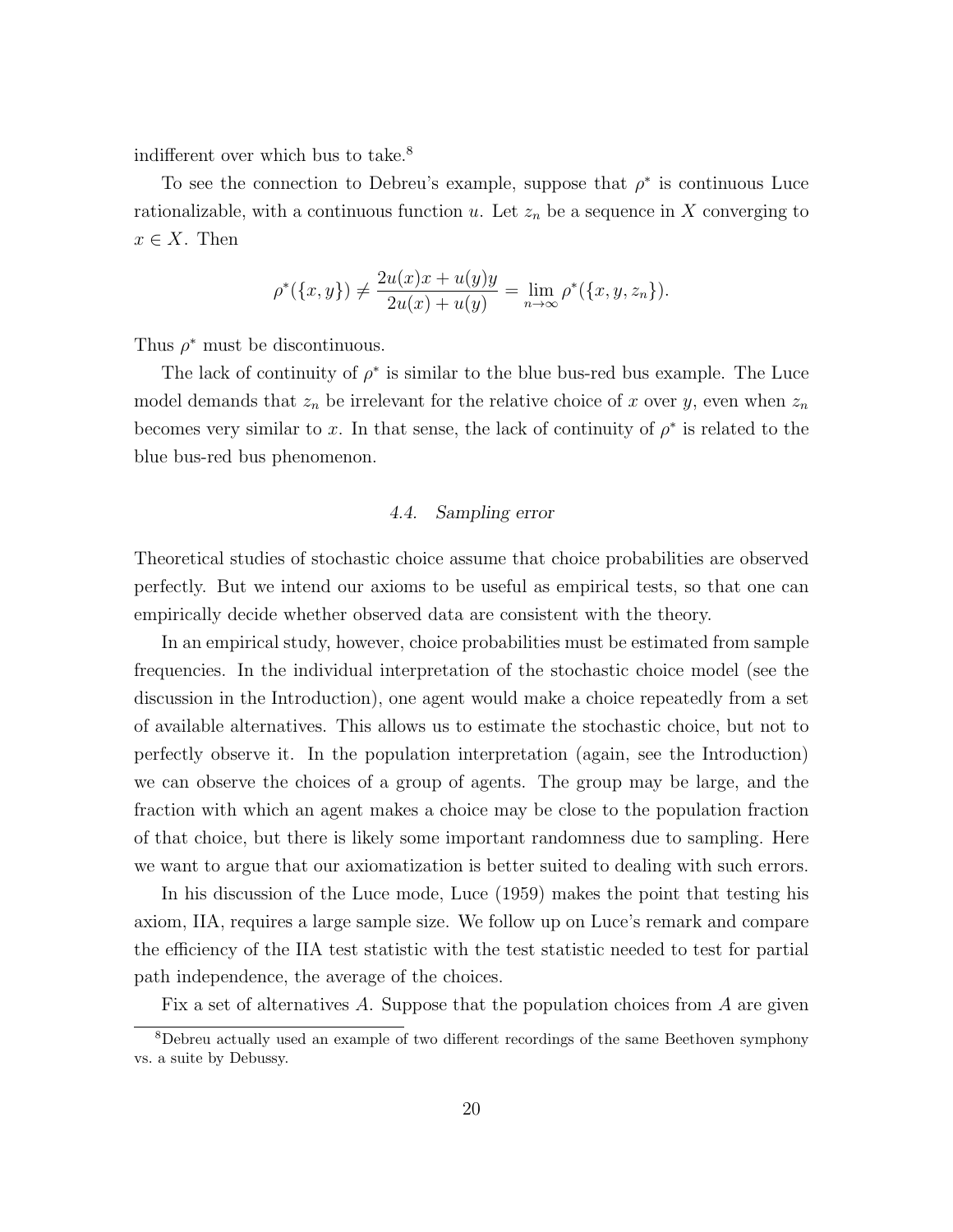indifferent over which bus to take.<sup>8</sup>

To see the connection to Debreu's example, suppose that  $\rho^*$  is continuous Luce rationalizable, with a continuous function u. Let  $z_n$  be a sequence in X converging to  $x \in X$ . Then

$$
\rho^*(\{x,y\}) \neq \frac{2u(x)x + u(y)y}{2u(x) + u(y)} = \lim_{n \to \infty} \rho^*(\{x,y,z_n\}).
$$

Thus  $\rho^*$  must be discontinuous.

The lack of continuity of  $\rho^*$  is similar to the blue bus-red bus example. The Luce model demands that  $z_n$  be irrelevant for the relative choice of x over y, even when  $z_n$ becomes very similar to x. In that sense, the lack of continuity of  $\rho^*$  is related to the blue bus-red bus phenomenon.

#### 4.4. Sampling error

Theoretical studies of stochastic choice assume that choice probabilities are observed perfectly. But we intend our axioms to be useful as empirical tests, so that one can empirically decide whether observed data are consistent with the theory.

In an empirical study, however, choice probabilities must be estimated from sample frequencies. In the individual interpretation of the stochastic choice model (see the discussion in the Introduction), one agent would make a choice repeatedly from a set of available alternatives. This allows us to estimate the stochastic choice, but not to perfectly observe it. In the population interpretation (again, see the Introduction) we can observe the choices of a group of agents. The group may be large, and the fraction with which an agent makes a choice may be close to the population fraction of that choice, but there is likely some important randomness due to sampling. Here we want to argue that our axiomatization is better suited to dealing with such errors.

In his discussion of the Luce mode, Luce (1959) makes the point that testing his axiom, IIA, requires a large sample size. We follow up on Luce's remark and compare the efficiency of the IIA test statistic with the test statistic needed to test for partial path independence, the average of the choices.

Fix a set of alternatives A. Suppose that the population choices from A are given

<sup>8</sup>Debreu actually used an example of two different recordings of the same Beethoven symphony vs. a suite by Debussy.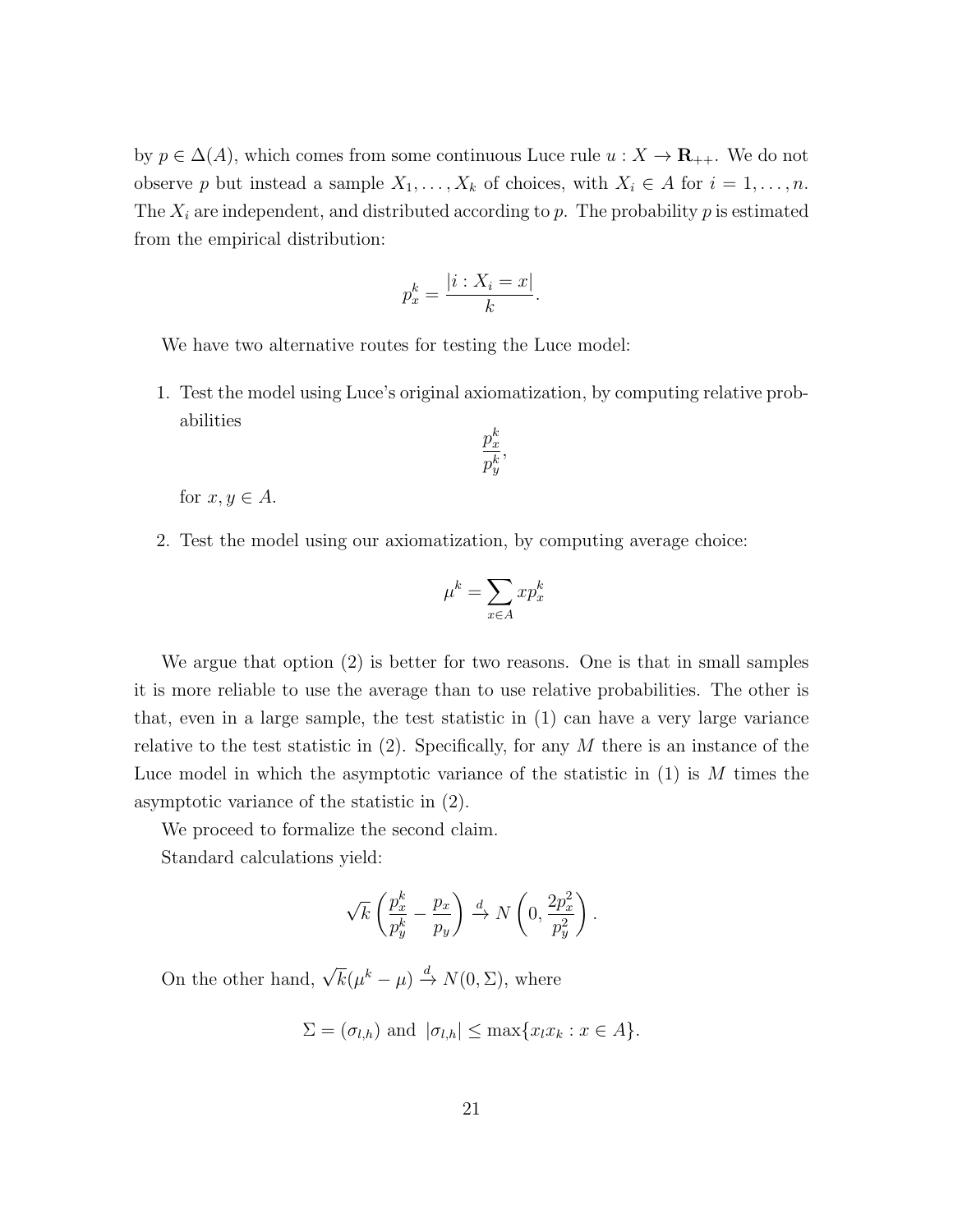by  $p \in \Delta(A)$ , which comes from some continuous Luce rule  $u : X \to \mathbf{R}_{++}$ . We do not observe p but instead a sample  $X_1, \ldots, X_k$  of choices, with  $X_i \in A$  for  $i = 1, \ldots, n$ . The  $X_i$  are independent, and distributed according to p. The probability p is estimated from the empirical distribution:

$$
p_x^k = \frac{|i: X_i = x|}{k}.
$$

We have two alternative routes for testing the Luce model:

1. Test the model using Luce's original axiomatization, by computing relative probabilities

$$
\frac{p_x^k}{p_y^k}
$$

,

for  $x, y \in A$ .

2. Test the model using our axiomatization, by computing average choice:

$$
\mu^k = \sum_{x \in A} x p_x^k
$$

We argue that option (2) is better for two reasons. One is that in small samples it is more reliable to use the average than to use relative probabilities. The other is that, even in a large sample, the test statistic in (1) can have a very large variance relative to the test statistic in  $(2)$ . Specifically, for any M there is an instance of the Luce model in which the asymptotic variance of the statistic in  $(1)$  is M times the asymptotic variance of the statistic in (2).

We proceed to formalize the second claim.

Standard calculations yield:

$$
\sqrt{k}\left(\frac{p_x^k}{p_y^k}-\frac{p_x}{p_y}\right) \xrightarrow{d} N\left(0,\frac{2p_x^2}{p_y^2}\right).
$$

On the other hand,  $\sqrt{k}(\mu^k - \mu) \stackrel{d}{\rightarrow} N(0, \Sigma)$ , where

$$
\Sigma = (\sigma_{l,h}) \text{ and } |\sigma_{l,h}| \le \max\{x_l x_k : x \in A\}.
$$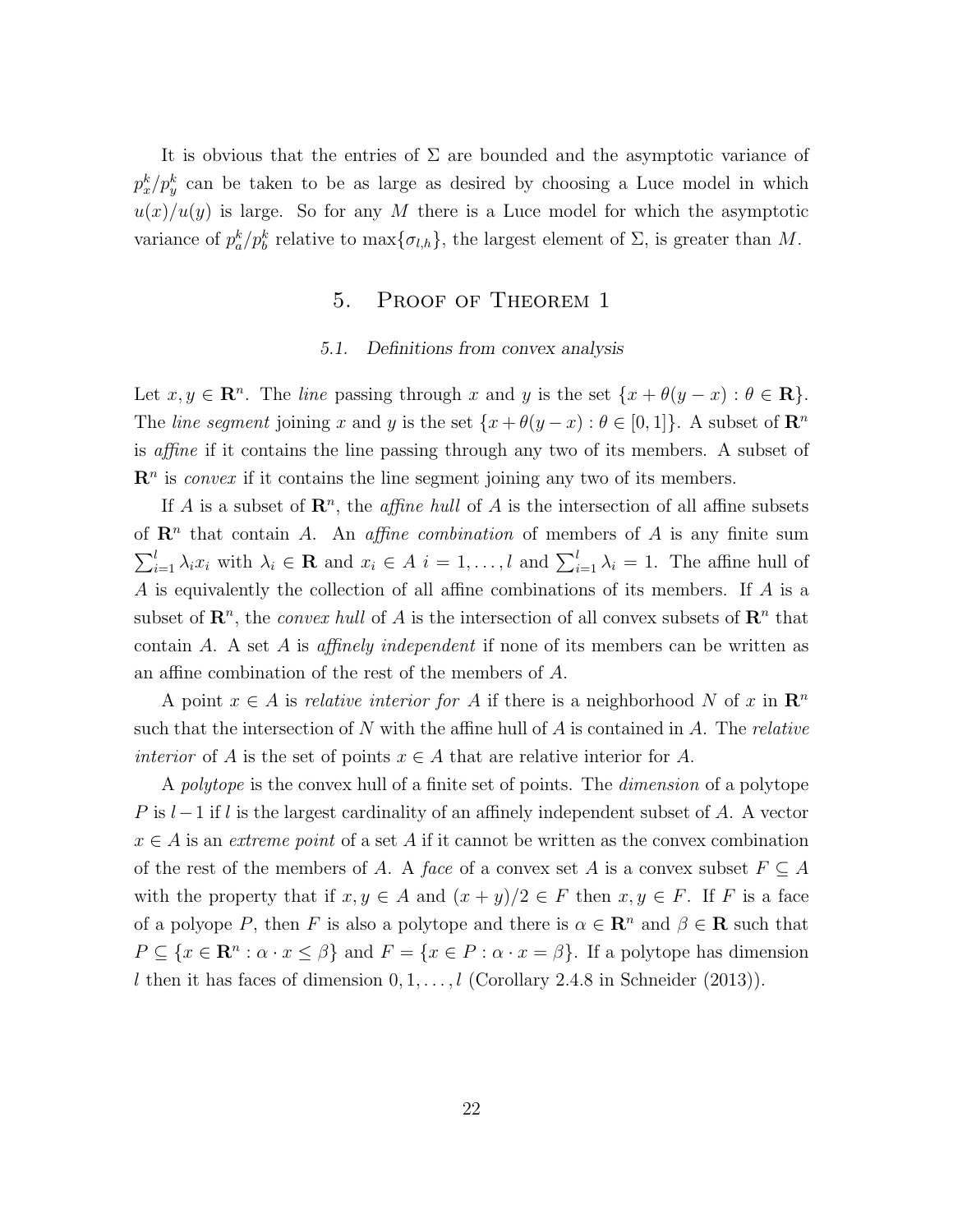It is obvious that the entries of  $\Sigma$  are bounded and the asymptotic variance of  $p_x^k/p_y^k$  can be taken to be as large as desired by choosing a Luce model in which  $u(x)/u(y)$  is large. So for any M there is a Luce model for which the asymptotic variance of  $p_a^k/p_b^k$  relative to  $\max{\{\sigma_{l,h}\}}$ , the largest element of  $\Sigma$ , is greater than M.

## 5. Proof of Theorem 1

#### 5.1. Definitions from convex analysis

Let  $x, y \in \mathbb{R}^n$ . The line passing through x and y is the set  $\{x + \theta(y - x) : \theta \in \mathbb{R}\}.$ The line segment joining x and y is the set  $\{x + \theta(y - x) : \theta \in [0, 1]\}\)$ . A subset of  $\mathbb{R}^n$ is affine if it contains the line passing through any two of its members. A subset of  $\mathbb{R}^n$  is *convex* if it contains the line segment joining any two of its members.

If A is a subset of  $\mathbb{R}^n$ , the *affine hull* of A is the intersection of all affine subsets of  $\mathbb{R}^n$  that contain A. An *affine combination* of members of A is any finite sum  $\sum_{i=1}^{l} \lambda_i x_i$  with  $\lambda_i \in \mathbf{R}$  and  $x_i \in A$   $i = 1, ..., l$  and  $\sum_{i=1}^{l} \lambda_i = 1$ . The affine hull of A is equivalently the collection of all affine combinations of its members. If A is a subset of  $\mathbb{R}^n$ , the *convex hull* of A is the intersection of all convex subsets of  $\mathbb{R}^n$  that contain A. A set A is affinely independent if none of its members can be written as an affine combination of the rest of the members of A.

A point  $x \in A$  is *relative interior for* A if there is a neighborhood N of x in  $\mathbb{R}^n$ such that the intersection of N with the affine hull of  $A$  is contained in  $A$ . The *relative interior* of A is the set of points  $x \in A$  that are relative interior for A.

A polytope is the convex hull of a finite set of points. The dimension of a polytope P is  $l-1$  if l is the largest cardinality of an affinely independent subset of A. A vector  $x \in A$  is an *extreme point* of a set A if it cannot be written as the convex combination of the rest of the members of A. A face of a convex set A is a convex subset  $F \subseteq A$ with the property that if  $x, y \in A$  and  $(x + y)/2 \in F$  then  $x, y \in F$ . If F is a face of a polyope P, then F is also a polytope and there is  $\alpha \in \mathbb{R}^n$  and  $\beta \in \mathbb{R}$  such that  $P \subseteq \{x \in \mathbb{R}^n : \alpha \cdot x \leq \beta\}$  and  $F = \{x \in P : \alpha \cdot x = \beta\}$ . If a polytope has dimension l then it has faces of dimension  $0, 1, \ldots, l$  (Corollary 2.4.8 in Schneider (2013)).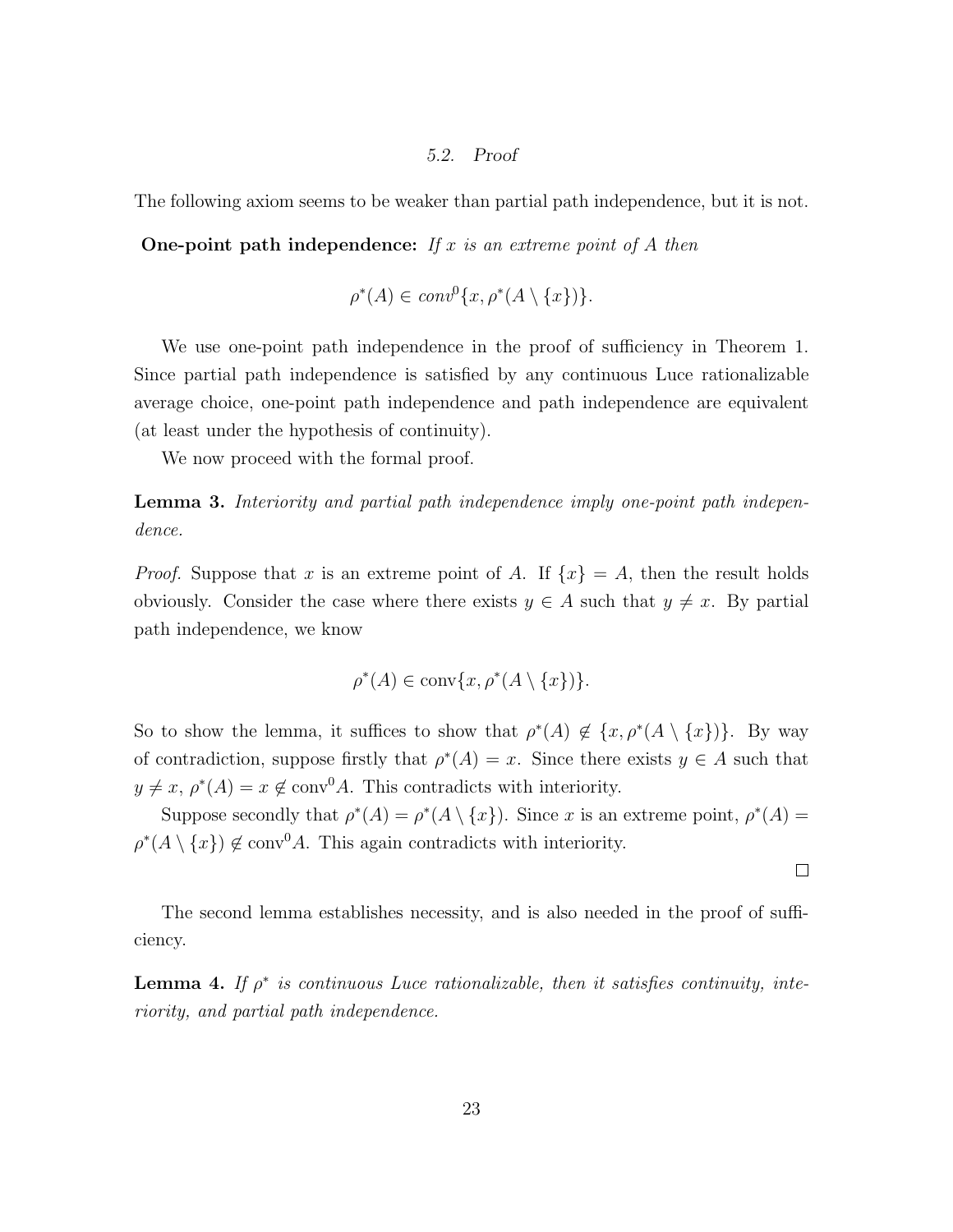#### 5.2. Proof

The following axiom seems to be weaker than partial path independence, but it is not.

One-point path independence: If  $x$  is an extreme point of  $A$  then

$$
\rho^*(A) \in conv^0\{x, \rho^*(A \setminus \{x\})\}.
$$

We use one-point path independence in the proof of sufficiency in Theorem 1. Since partial path independence is satisfied by any continuous Luce rationalizable average choice, one-point path independence and path independence are equivalent (at least under the hypothesis of continuity).

We now proceed with the formal proof.

Lemma 3. Interiority and partial path independence imply one-point path independence.

*Proof.* Suppose that x is an extreme point of A. If  $\{x\} = A$ , then the result holds obviously. Consider the case where there exists  $y \in A$  such that  $y \neq x$ . By partial path independence, we know

$$
\rho^*(A) \in \text{conv}\{x, \rho^*(A \setminus \{x\})\}.
$$

So to show the lemma, it suffices to show that  $\rho^*(A) \notin \{x, \rho^*(A \setminus \{x\})\}$ . By way of contradiction, suppose firstly that  $\rho^*(A) = x$ . Since there exists  $y \in A$  such that  $y \neq x, \rho^*(A) = x \notin \text{conv}^0 A$ . This contradicts with interiority.

Suppose secondly that  $\rho^*(A) = \rho^*(A \setminus \{x\})$ . Since x is an extreme point,  $\rho^*(A) =$  $\rho^*(A \setminus \{x\}) \notin \text{conv}^0 A$ . This again contradicts with interiority.

 $\Box$ 

The second lemma establishes necessity, and is also needed in the proof of sufficiency.

**Lemma 4.** If  $\rho^*$  is continuous Luce rationalizable, then it satisfies continuity, interiority, and partial path independence.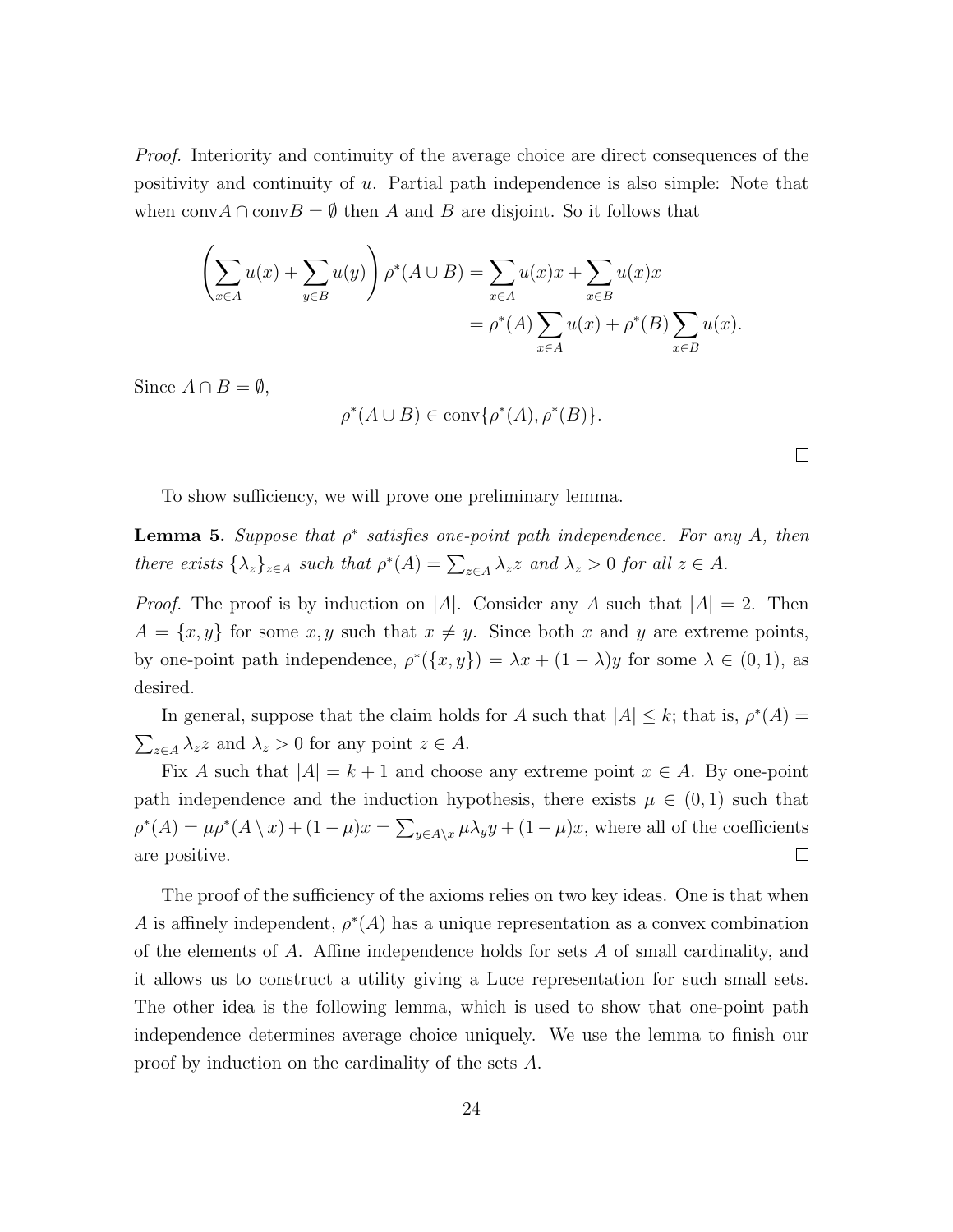Proof. Interiority and continuity of the average choice are direct consequences of the positivity and continuity of u. Partial path independence is also simple: Note that when conv $A \cap \text{conv}B = \emptyset$  then A and B are disjoint. So it follows that

$$
\left(\sum_{x \in A} u(x) + \sum_{y \in B} u(y)\right) \rho^*(A \cup B) = \sum_{x \in A} u(x)x + \sum_{x \in B} u(x)x
$$

$$
= \rho^*(A) \sum_{x \in A} u(x) + \rho^*(B) \sum_{x \in B} u(x).
$$

Since  $A \cap B = \emptyset$ ,

$$
\rho^*(A \cup B) \in \text{conv}\{\rho^*(A), \rho^*(B)\}.
$$

To show sufficiency, we will prove one preliminary lemma.

**Lemma 5.** Suppose that  $\rho^*$  satisfies one-point path independence. For any A, then there exists  $\{\lambda_z\}_{z \in A}$  such that  $\rho^*(A) = \sum_{z \in A} \lambda_z z$  and  $\lambda_z > 0$  for all  $z \in A$ .

*Proof.* The proof is by induction on |A|. Consider any A such that  $|A| = 2$ . Then  $A = \{x, y\}$  for some  $x, y$  such that  $x \neq y$ . Since both x and y are extreme points, by one-point path independence,  $\rho^*(\{x, y\}) = \lambda x + (1 - \lambda)y$  for some  $\lambda \in (0, 1)$ , as desired.

In general, suppose that the claim holds for A such that  $|A| \leq k$ ; that is,  $\rho^*(A) =$  $\sum_{z \in A} \lambda_z z$  and  $\lambda_z > 0$  for any point  $z \in A$ .

Fix A such that  $|A| = k + 1$  and choose any extreme point  $x \in A$ . By one-point path independence and the induction hypothesis, there exists  $\mu \in (0,1)$  such that  $\rho^*(A) = \mu \rho^*(A \setminus x) + (1 - \mu)x = \sum_{y \in A \setminus x} \mu \lambda_y y + (1 - \mu)x$ , where all of the coefficients  $\Box$ are positive.

The proof of the sufficiency of the axioms relies on two key ideas. One is that when A is affinely independent,  $\rho^*(A)$  has a unique representation as a convex combination of the elements of A. Affine independence holds for sets A of small cardinality, and it allows us to construct a utility giving a Luce representation for such small sets. The other idea is the following lemma, which is used to show that one-point path independence determines average choice uniquely. We use the lemma to finish our proof by induction on the cardinality of the sets A.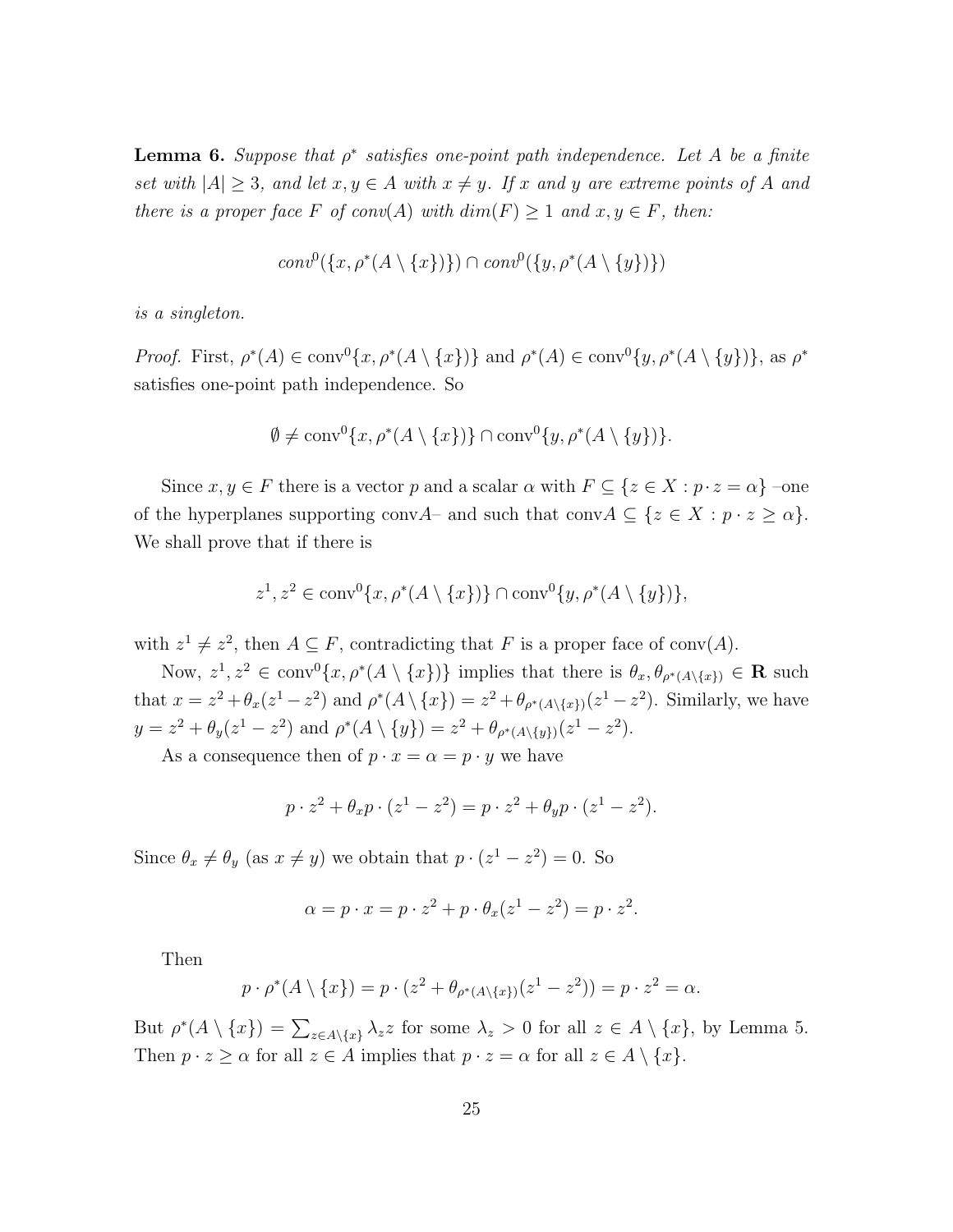**Lemma 6.** Suppose that  $\rho^*$  satisfies one-point path independence. Let A be a finite set with  $|A| \geq 3$ , and let  $x, y \in A$  with  $x \neq y$ . If x and y are extreme points of A and there is a proper face F of conv(A) with  $dim(F) \geq 1$  and  $x, y \in F$ , then:

$$
conv^{0}(\lbrace x, \rho^{*}(A \setminus \lbrace x \rbrace) \rbrace) \cap conv^{0}(\lbrace y, \rho^{*}(A \setminus \lbrace y \rbrace) \rbrace)
$$

is a singleton.

Proof. First,  $\rho^*(A) \in \text{conv}^0\{x, \rho^*(A \setminus \{x\})\}$  and  $\rho^*(A) \in \text{conv}^0\{y, \rho^*(A \setminus \{y\})\}$ , as  $\rho^*$ satisfies one-point path independence. So

$$
\emptyset \neq \operatorname{conv}^0\{x, \rho^*(A \setminus \{x\})\} \cap \operatorname{conv}^0\{y, \rho^*(A \setminus \{y\})\}.
$$

Since  $x, y \in F$  there is a vector p and a scalar  $\alpha$  with  $F \subseteq \{z \in X : p \cdot z = \alpha\}$  -one of the hyperplanes supporting conv $A$ – and such that conv $A \subseteq \{z \in X : p \cdot z \ge \alpha\}.$ We shall prove that if there is

$$
z^1, z^2 \in \text{conv}^0\{x, \rho^*(A \setminus \{x\})\} \cap \text{conv}^0\{y, \rho^*(A \setminus \{y\})\},\
$$

with  $z^1 \neq z^2$ , then  $A \subseteq F$ , contradicting that F is a proper face of conv(A).

Now,  $z^1, z^2 \in \text{conv}^0\{x, \rho^*(A \setminus \{x\})\}$  implies that there is  $\theta_x, \theta_{\rho^*(A \setminus \{x\})} \in \mathbf{R}$  such that  $x = z^2 + \theta_x(z^1 - z^2)$  and  $\rho^*(A \setminus \{x\}) = z^2 + \theta_{\rho^*(A \setminus \{x\})}(z^1 - z^2)$ . Similarly, we have  $y = z^2 + \theta_y(z^1 - z^2)$  and  $\rho^*(A \setminus \{y\}) = z^2 + \theta_{\rho^*(A \setminus \{y\})}(z^1 - z^2)$ .

As a consequence then of  $p \cdot x = \alpha = p \cdot y$  we have

$$
p \cdot z^2 + \theta_x p \cdot (z^1 - z^2) = p \cdot z^2 + \theta_y p \cdot (z^1 - z^2).
$$

Since  $\theta_x \neq \theta_y$  (as  $x \neq y$ ) we obtain that  $p \cdot (z^1 - z^2) = 0$ . So

$$
\alpha = p \cdot x = p \cdot z^2 + p \cdot \theta_x (z^1 - z^2) = p \cdot z^2.
$$

Then

$$
p \cdot \rho^*(A \setminus \{x\}) = p \cdot (z^2 + \theta_{\rho^*(A \setminus \{x\})}(z^1 - z^2)) = p \cdot z^2 = \alpha.
$$

But  $\rho^*(A \setminus \{x\}) = \sum_{z \in A \setminus \{x\}} \lambda_z z$  for some  $\lambda_z > 0$  for all  $z \in A \setminus \{x\}$ , by Lemma 5. Then  $p \cdot z \geq \alpha$  for all  $z \in A$  implies that  $p \cdot z = \alpha$  for all  $z \in A \setminus \{x\}.$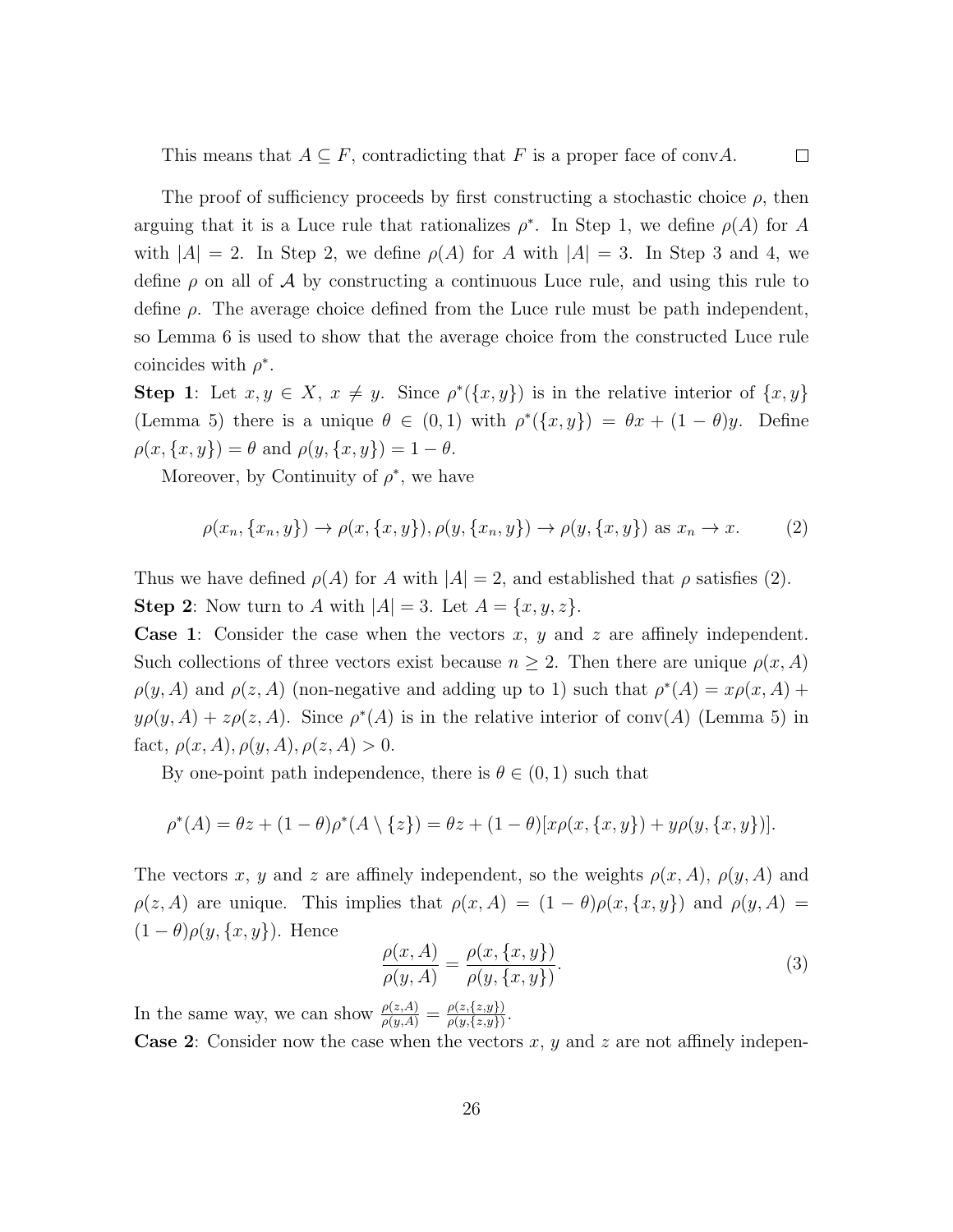This means that  $A \subseteq F$ , contradicting that F is a proper face of convA.

The proof of sufficiency proceeds by first constructing a stochastic choice  $\rho$ , then arguing that it is a Luce rule that rationalizes  $\rho^*$ . In Step 1, we define  $\rho(A)$  for A with  $|A| = 2$ . In Step 2, we define  $\rho(A)$  for A with  $|A| = 3$ . In Step 3 and 4, we define  $\rho$  on all of A by constructing a continuous Luce rule, and using this rule to define  $\rho$ . The average choice defined from the Luce rule must be path independent, so Lemma 6 is used to show that the average choice from the constructed Luce rule coincides with  $\rho^*$ .

Step 1: Let  $x, y \in X$ ,  $x \neq y$ . Since  $\rho^*(\{x, y\})$  is in the relative interior of  $\{x, y\}$ (Lemma 5) there is a unique  $\theta \in (0,1)$  with  $\rho^*(\{x,y\}) = \theta x + (1-\theta)y$ . Define  $\rho(x, \{x, y\}) = \theta$  and  $\rho(y, \{x, y\}) = 1 - \theta$ .

Moreover, by Continuity of  $\rho^*$ , we have

$$
\rho(x_n, \{x_n, y\}) \to \rho(x, \{x, y\}), \rho(y, \{x_n, y\}) \to \rho(y, \{x, y\}) \text{ as } x_n \to x. \tag{2}
$$

Thus we have defined  $\rho(A)$  for A with  $|A| = 2$ , and established that  $\rho$  satisfies (2). **Step 2**: Now turn to A with  $|A| = 3$ . Let  $A = \{x, y, z\}$ .

**Case 1:** Consider the case when the vectors x, y and z are affinely independent. Such collections of three vectors exist because  $n \geq 2$ . Then there are unique  $\rho(x, A)$  $\rho(y, A)$  and  $\rho(z, A)$  (non-negative and adding up to 1) such that  $\rho^*(A) = x\rho(x, A) +$  $y \rho(y, A) + z \rho(z, A)$ . Since  $\rho^*(A)$  is in the relative interior of conv(A) (Lemma 5) in fact,  $\rho(x, A), \rho(y, A), \rho(z, A) > 0.$ 

By one-point path independence, there is  $\theta \in (0,1)$  such that

$$
\rho^*(A) = \theta z + (1 - \theta)\rho^*(A \setminus \{z\}) = \theta z + (1 - \theta)[x\rho(x, \{x, y\}) + y\rho(y, \{x, y\})].
$$

The vectors x, y and z are affinely independent, so the weights  $\rho(x, A)$ ,  $\rho(y, A)$  and  $\rho(z, A)$  are unique. This implies that  $\rho(x, A) = (1 - \theta)\rho(x, \{x, y\})$  and  $\rho(y, A) =$  $(1 - \theta)\rho(y, \{x, y\})$ . Hence

$$
\frac{\rho(x,A)}{\rho(y,A)} = \frac{\rho(x,\{x,y\})}{\rho(y,\{x,y\})}.
$$
\n(3)

In the same way, we can show  $\frac{\rho(z,A)}{\rho(y,A)} = \frac{\rho(z,\{z,y\})}{\rho(y,\{z,y\})}$  $\frac{\rho(z,\{z,y\})}{\rho(y,\{z,y\})}.$ 

**Case 2:** Consider now the case when the vectors x, y and z are not affinely indepen-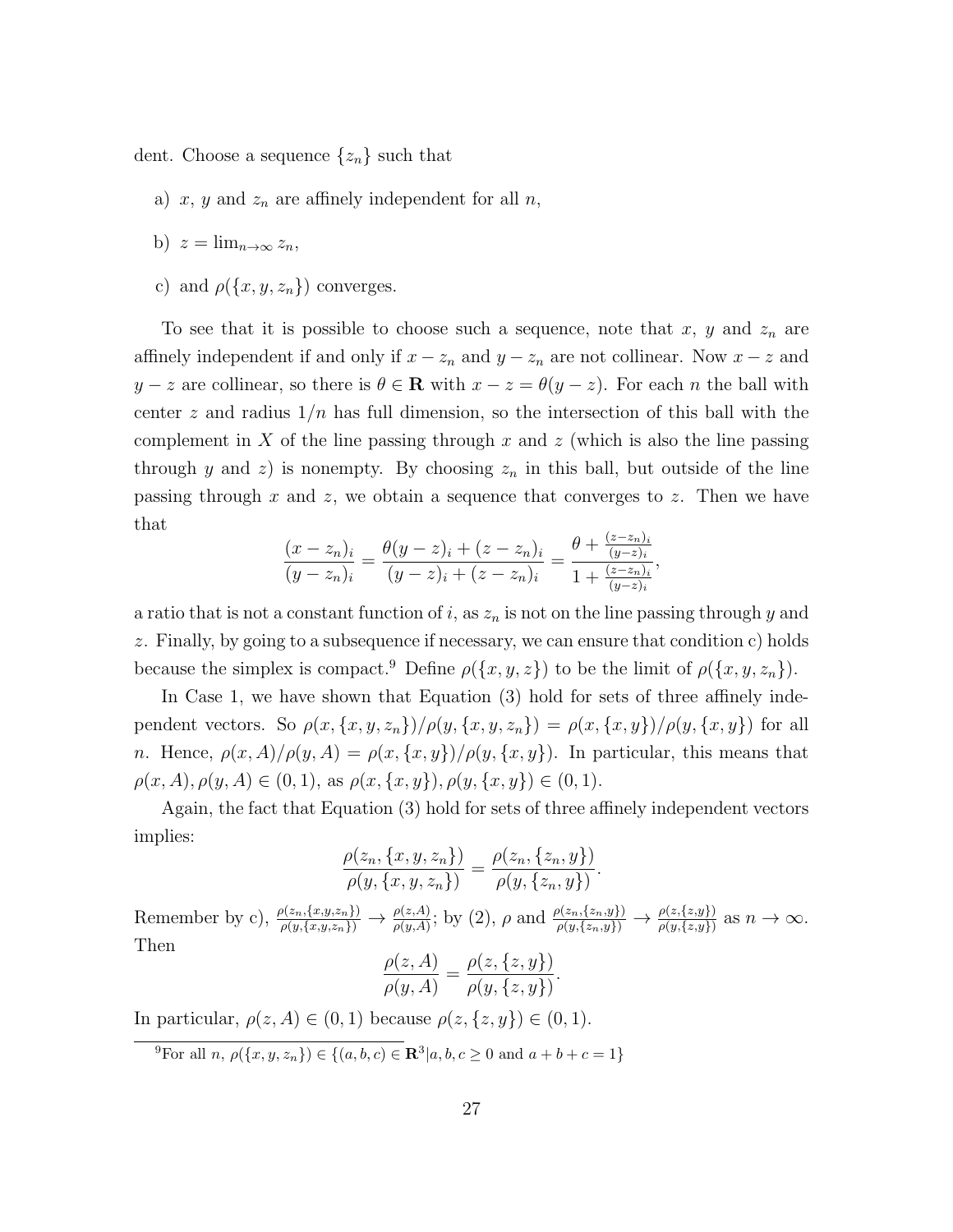dent. Choose a sequence  $\{z_n\}$  such that

- a) x, y and  $z_n$  are affinely independent for all n,
- b)  $z = \lim_{n \to \infty} z_n$
- c) and  $\rho({x, y, z_n})$  converges.

To see that it is possible to choose such a sequence, note that  $x, y$  and  $z_n$  are affinely independent if and only if  $x - z_n$  and  $y - z_n$  are not collinear. Now  $x - z$  and  $y - z$  are collinear, so there is  $\theta \in \mathbf{R}$  with  $x - z = \theta(y - z)$ . For each n the ball with center z and radius  $1/n$  has full dimension, so the intersection of this ball with the complement in X of the line passing through x and z (which is also the line passing through y and z) is nonempty. By choosing  $z_n$  in this ball, but outside of the line passing through x and z, we obtain a sequence that converges to z. Then we have that

$$
\frac{(x-z_n)_i}{(y-z_n)_i} = \frac{\theta(y-z)_i + (z-z_n)_i}{(y-z)_i + (z-z_n)_i} = \frac{\theta + \frac{(z-z_n)_i}{(y-z)_i}}{1 + \frac{(z-z_n)_i}{(y-z)_i}},
$$

a ratio that is not a constant function of i, as  $z_n$  is not on the line passing through y and z. Finally, by going to a subsequence if necessary, we can ensure that condition c) holds because the simplex is compact.<sup>9</sup> Define  $\rho({x, y, z})$  to be the limit of  $\rho({x, y, z_n})$ .

In Case 1, we have shown that Equation (3) hold for sets of three affinely independent vectors. So  $\rho(x, \{x, y, z_n\})/\rho(y, \{x, y, z_n\}) = \rho(x, \{x, y\})/\rho(y, \{x, y\})$  for all n. Hence,  $\rho(x, A)/\rho(y, A) = \rho(x, \{x, y\})/\rho(y, \{x, y\})$ . In particular, this means that  $\rho(x, A), \rho(y, A) \in (0, 1),$  as  $\rho(x, \{x, y\}), \rho(y, \{x, y\}) \in (0, 1).$ 

Again, the fact that Equation (3) hold for sets of three affinely independent vectors implies:

$$
\frac{\rho(z_n, \{x, y, z_n\})}{\rho(y, \{x, y, z_n\})} = \frac{\rho(z_n, \{z_n, y\})}{\rho(y, \{z_n, y\})}.
$$

Remember by c),  $\frac{\rho(z_n,\{x,y,z_n\})}{\rho(y,\{x,y,z_n\})} \to \frac{\rho(z,A)}{\rho(y,A)}$ ; by (2),  $\rho$  and  $\frac{\rho(z_n,\{z_n,y\})}{\rho(y,\{z_n,y\})} \to \frac{\rho(z,\{z,y\})}{\rho(y,\{z,y\})}$  as  $n \to \infty$ . Then  $\ell = 4$ )  $\mathcal{L}_{\text{z}}$  ( $\mathcal{L}_{\text{z}}$  y)) .

$$
\frac{\rho(z, A)}{\rho(y, A)} = \frac{\rho(z, \{z, y\})}{\rho(y, \{z, y\})}
$$

In particular,  $\rho(z, A) \in (0, 1)$  because  $\rho(z, \{z, y\}) \in (0, 1)$ .

<sup>&</sup>lt;sup>9</sup>For all *n*,  $\rho(\{x, y, z_n\}) \in \{(a, b, c) \in \mathbb{R}^3 | a, b, c \ge 0 \text{ and } a + b + c = 1\}$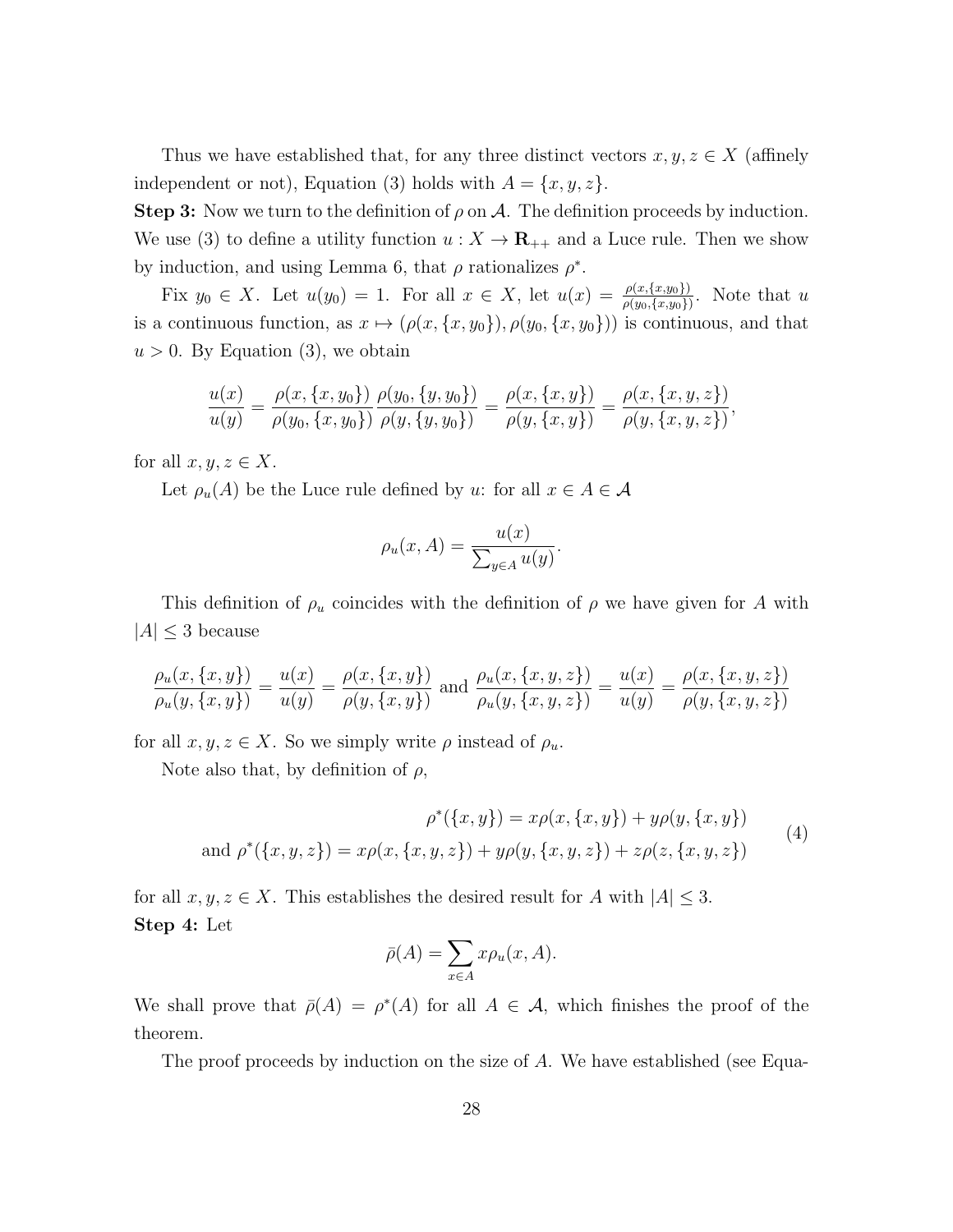Thus we have established that, for any three distinct vectors  $x, y, z \in X$  (affinely independent or not), Equation (3) holds with  $A = \{x, y, z\}.$ 

**Step 3:** Now we turn to the definition of  $\rho$  on A. The definition proceeds by induction. We use (3) to define a utility function  $u: X \to \mathbf{R}_{++}$  and a Luce rule. Then we show by induction, and using Lemma 6, that  $\rho$  rationalizes  $\rho^*$ .

Fix  $y_0 \in X$ . Let  $u(y_0) = 1$ . For all  $x \in X$ , let  $u(x) = \frac{\rho(x,\{x,y_0\})}{\rho(y_0,\{x,y_0\})}$ . Note that u is a continuous function, as  $x \mapsto (\rho(x, \{x, y_0\}), \rho(y_0, \{x, y_0\}))$  is continuous, and that  $u > 0$ . By Equation (3), we obtain

$$
\frac{u(x)}{u(y)} = \frac{\rho(x,\{x,y_0\})}{\rho(y_0,\{x,y_0\})} \frac{\rho(y_0,\{y,y_0\})}{\rho(y,\{y,y_0\})} = \frac{\rho(x,\{x,y\})}{\rho(y,\{x,y\})} = \frac{\rho(x,\{x,y,z\})}{\rho(y,\{x,y,z\})},
$$

for all  $x, y, z \in X$ .

Let  $\rho_u(A)$  be the Luce rule defined by u: for all  $x \in A \in \mathcal{A}$ 

$$
\rho_u(x, A) = \frac{u(x)}{\sum_{y \in A} u(y)}.
$$

This definition of  $\rho_u$  coincides with the definition of  $\rho$  we have given for A with  $|A| \leq 3$  because

$$
\frac{\rho_u(x,\{x,y\})}{\rho_u(y,\{x,y\})} = \frac{u(x)}{u(y)} = \frac{\rho(x,\{x,y\})}{\rho(y,\{x,y\})} \text{ and } \frac{\rho_u(x,\{x,y,z\})}{\rho_u(y,\{x,y,z\})} = \frac{u(x)}{u(y)} = \frac{\rho(x,\{x,y,z\})}{\rho(y,\{x,y,z\})}
$$

for all  $x, y, z \in X$ . So we simply write  $\rho$  instead of  $\rho_u$ .

Note also that, by definition of  $\rho$ ,

$$
\rho^*(\{x, y\}) = x\rho(x, \{x, y\}) + y\rho(y, \{x, y\})
$$
  
and 
$$
\rho^*(\{x, y, z\}) = x\rho(x, \{x, y, z\}) + y\rho(y, \{x, y, z\}) + z\rho(z, \{x, y, z\})
$$
 (4)

for all  $x, y, z \in X$ . This establishes the desired result for A with  $|A| \leq 3$ . Step 4: Let

$$
\bar{\rho}(A) = \sum_{x \in A} x \rho_u(x, A).
$$

We shall prove that  $\bar{\rho}(A) = \rho^*(A)$  for all  $A \in \mathcal{A}$ , which finishes the proof of the theorem.

The proof proceeds by induction on the size of A. We have established (see Equa-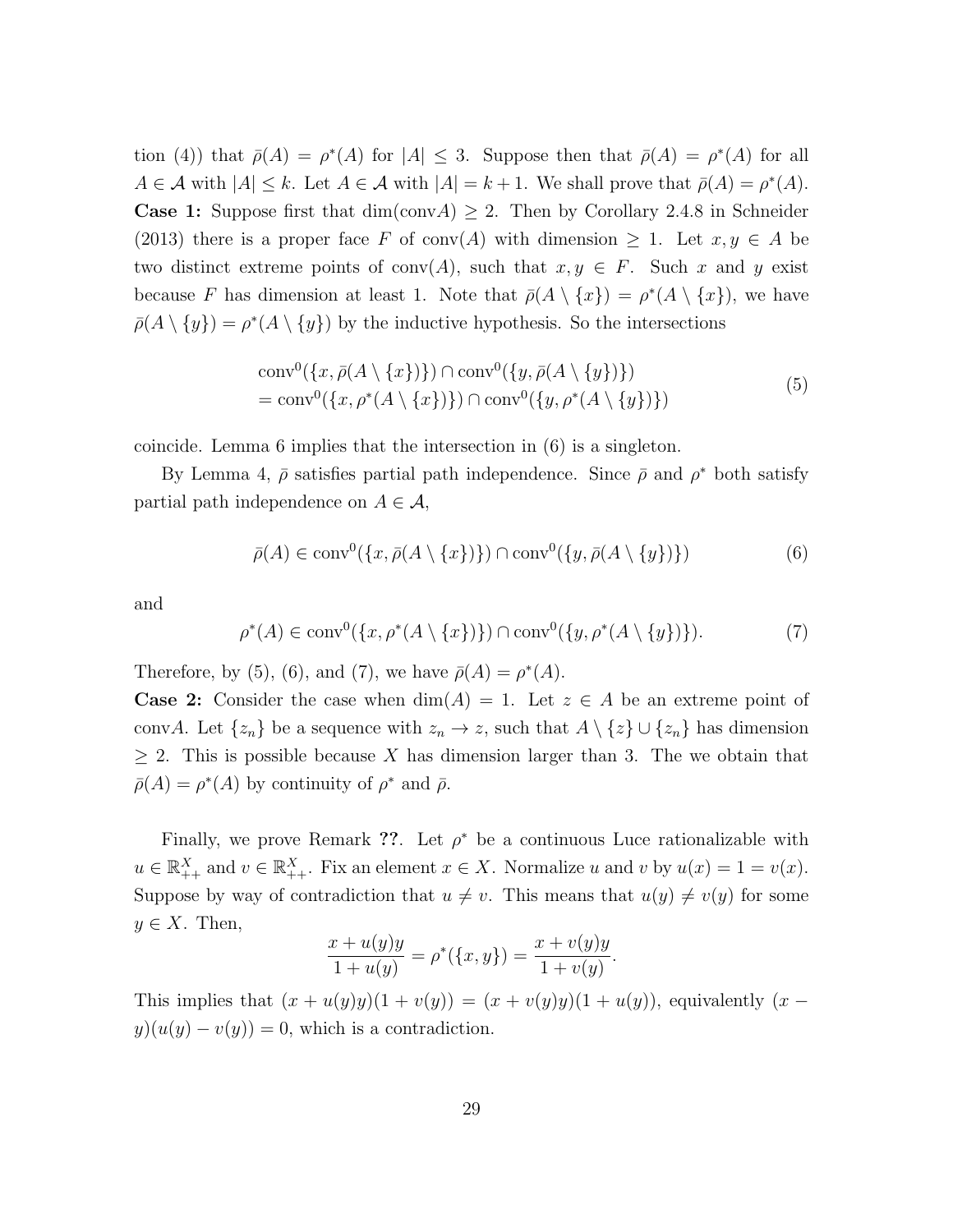tion (4)) that  $\bar{\rho}(A) = \rho^*(A)$  for  $|A| \leq 3$ . Suppose then that  $\bar{\rho}(A) = \rho^*(A)$  for all  $A \in \mathcal{A}$  with  $|A| \leq k$ . Let  $A \in \mathcal{A}$  with  $|A| = k + 1$ . We shall prove that  $\bar{\rho}(A) = \rho^*(A)$ . **Case 1:** Suppose first that  $dim(conv A) \geq 2$ . Then by Corollary 2.4.8 in Schneider (2013) there is a proper face F of conv(A) with dimension  $\geq 1$ . Let  $x, y \in A$  be two distinct extreme points of conv(A), such that  $x, y \in F$ . Such x and y exist because F has dimension at least 1. Note that  $\bar{p}(A \setminus \{x\}) = \rho^*(A \setminus \{x\})$ , we have  $\bar{\rho}(A \setminus \{y\}) = \rho^*(A \setminus \{y\})$  by the inductive hypothesis. So the intersections

$$
\text{conv}^{0}(\lbrace x, \bar{\rho}(A \setminus \lbrace x \rbrace) \rbrace) \cap \text{conv}^{0}(\lbrace y, \bar{\rho}(A \setminus \lbrace y \rbrace) \rbrace)
$$
  
= 
$$
\text{conv}^{0}(\lbrace x, \rho^{*}(A \setminus \lbrace x \rbrace) \rbrace) \cap \text{conv}^{0}(\lbrace y, \rho^{*}(A \setminus \lbrace y \rbrace) \rbrace)
$$
(5)

coincide. Lemma 6 implies that the intersection in (6) is a singleton.

By Lemma 4,  $\bar{\rho}$  satisfies partial path independence. Since  $\bar{\rho}$  and  $\rho^*$  both satisfy partial path independence on  $A \in \mathcal{A}$ ,

$$
\bar{\rho}(A) \in \text{conv}^0(\{x, \bar{\rho}(A \setminus \{x\})\}) \cap \text{conv}^0(\{y, \bar{\rho}(A \setminus \{y\})\})
$$
(6)

and

$$
\rho^*(A) \in \text{conv}^0(\{x, \rho^*(A \setminus \{x\})\}) \cap \text{conv}^0(\{y, \rho^*(A \setminus \{y\})\}).\tag{7}
$$

Therefore, by (5), (6), and (7), we have  $\bar{\rho}(A) = \rho^*(A)$ .

**Case 2:** Consider the case when  $dim(A) = 1$ . Let  $z \in A$  be an extreme point of convA. Let  $\{z_n\}$  be a sequence with  $z_n \to z$ , such that  $A \setminus \{z\} \cup \{z_n\}$  has dimension  $\geq 2$ . This is possible because X has dimension larger than 3. The we obtain that  $\bar{\rho}(A) = \rho^*(A)$  by continuity of  $\rho^*$  and  $\bar{\rho}$ .

Finally, we prove Remark ??. Let  $\rho^*$  be a continuous Luce rationalizable with  $u \in \mathbb{R}_{++}^X$  and  $v \in \mathbb{R}_{++}^X$ . Fix an element  $x \in X$ . Normalize u and v by  $u(x) = 1 = v(x)$ . Suppose by way of contradiction that  $u \neq v$ . This means that  $u(y) \neq v(y)$  for some  $y \in X$ . Then,

$$
\frac{x + u(y)y}{1 + u(y)} = \rho^*(\{x, y\}) = \frac{x + v(y)y}{1 + v(y)}.
$$

This implies that  $(x + u(y)y)(1 + v(y)) = (x + v(y)y)(1 + u(y))$ , equivalently  $(x$  $y)(u(y) - v(y)) = 0$ , which is a contradiction.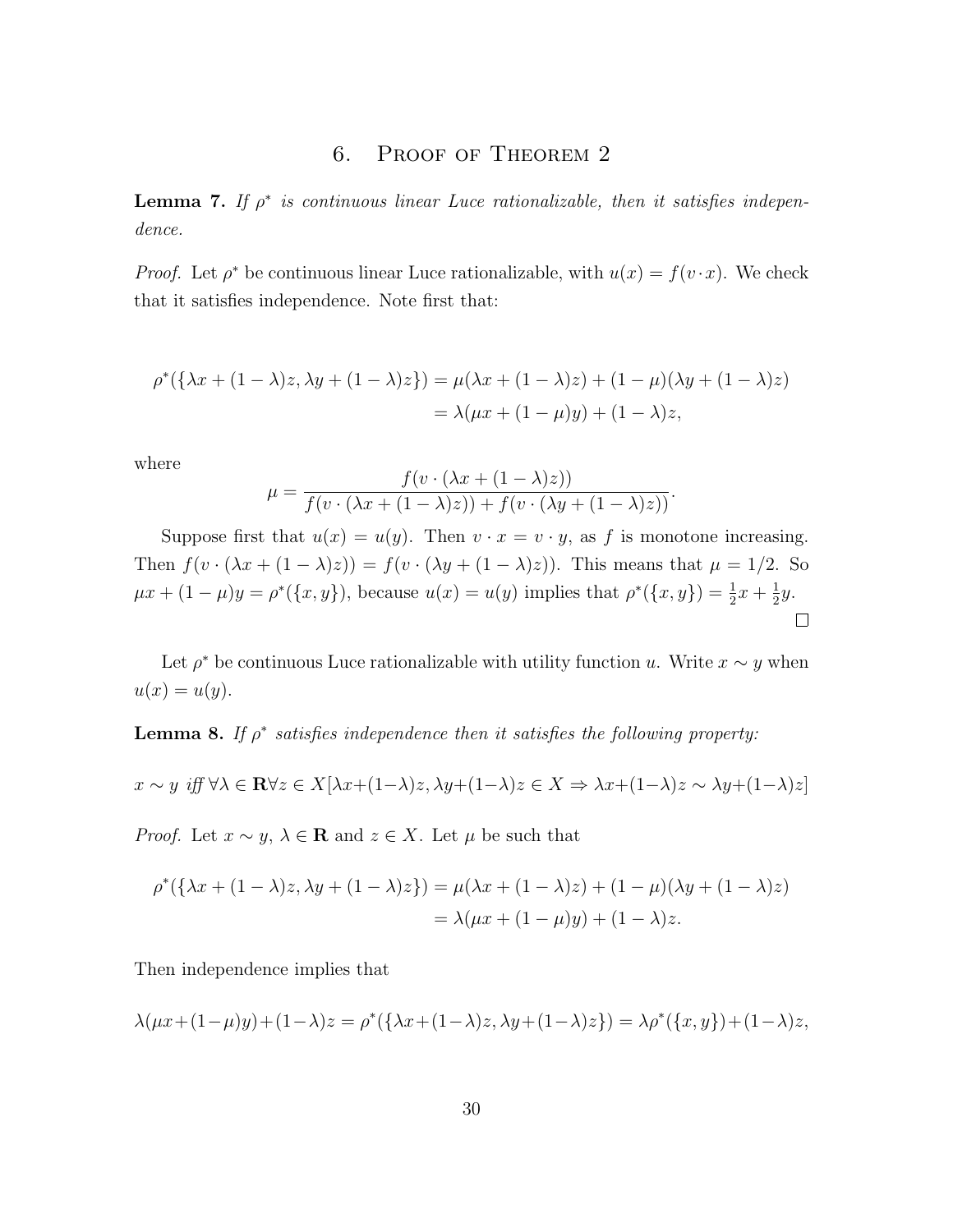## 6. Proof of Theorem 2

**Lemma 7.** If  $\rho^*$  is continuous linear Luce rationalizable, then it satisfies independence.

*Proof.* Let  $\rho^*$  be continuous linear Luce rationalizable, with  $u(x) = f(v \cdot x)$ . We check that it satisfies independence. Note first that:

$$
\rho^*(\{\lambda x + (1 - \lambda)z, \lambda y + (1 - \lambda)z\}) = \mu(\lambda x + (1 - \lambda)z) + (1 - \mu)(\lambda y + (1 - \lambda)z)
$$
  
=  $\lambda(\mu x + (1 - \mu)y) + (1 - \lambda)z$ ,

where

$$
\mu = \frac{f(v \cdot (\lambda x + (1 - \lambda)z))}{f(v \cdot (\lambda x + (1 - \lambda)z)) + f(v \cdot (\lambda y + (1 - \lambda)z))}.
$$

Suppose first that  $u(x) = u(y)$ . Then  $v \cdot x = v \cdot y$ , as f is monotone increasing. Then  $f(v \cdot (\lambda x + (1 - \lambda)z)) = f(v \cdot (\lambda y + (1 - \lambda)z))$ . This means that  $\mu = 1/2$ . So  $\mu x + (1 - \mu)y = \rho^*({x, y}),$  because  $u(x) = u(y)$  implies that  $\rho^*({x, y}) = \frac{1}{2}x + \frac{1}{2}$  $rac{1}{2}y$ .  $\Box$ 

Let  $\rho^*$  be continuous Luce rationalizable with utility function u. Write  $x \sim y$  when  $u(x) = u(y).$ 

**Lemma 8.** If  $\rho^*$  satisfies independence then it satisfies the following property:

$$
x \sim y \text{ iff } \forall \lambda \in \mathbf{R} \forall z \in X[\lambda x + (1 - \lambda)z, \lambda y + (1 - \lambda)z \in X \Rightarrow \lambda x + (1 - \lambda)z \sim \lambda y + (1 - \lambda)z]
$$

*Proof.* Let  $x \sim y$ ,  $\lambda \in \mathbf{R}$  and  $z \in X$ . Let  $\mu$  be such that

$$
\rho^*(\{\lambda x + (1 - \lambda)z, \lambda y + (1 - \lambda)z\}) = \mu(\lambda x + (1 - \lambda)z) + (1 - \mu)(\lambda y + (1 - \lambda)z)
$$
  
=  $\lambda(\mu x + (1 - \mu)y) + (1 - \lambda)z$ .

Then independence implies that

$$
\lambda(\mu x + (1 - \mu)y) + (1 - \lambda)z = \rho^*({\lambda x + (1 - \lambda)z, \lambda y + (1 - \lambda)z}) = \lambda \rho^*({x, y}) + (1 - \lambda)z,
$$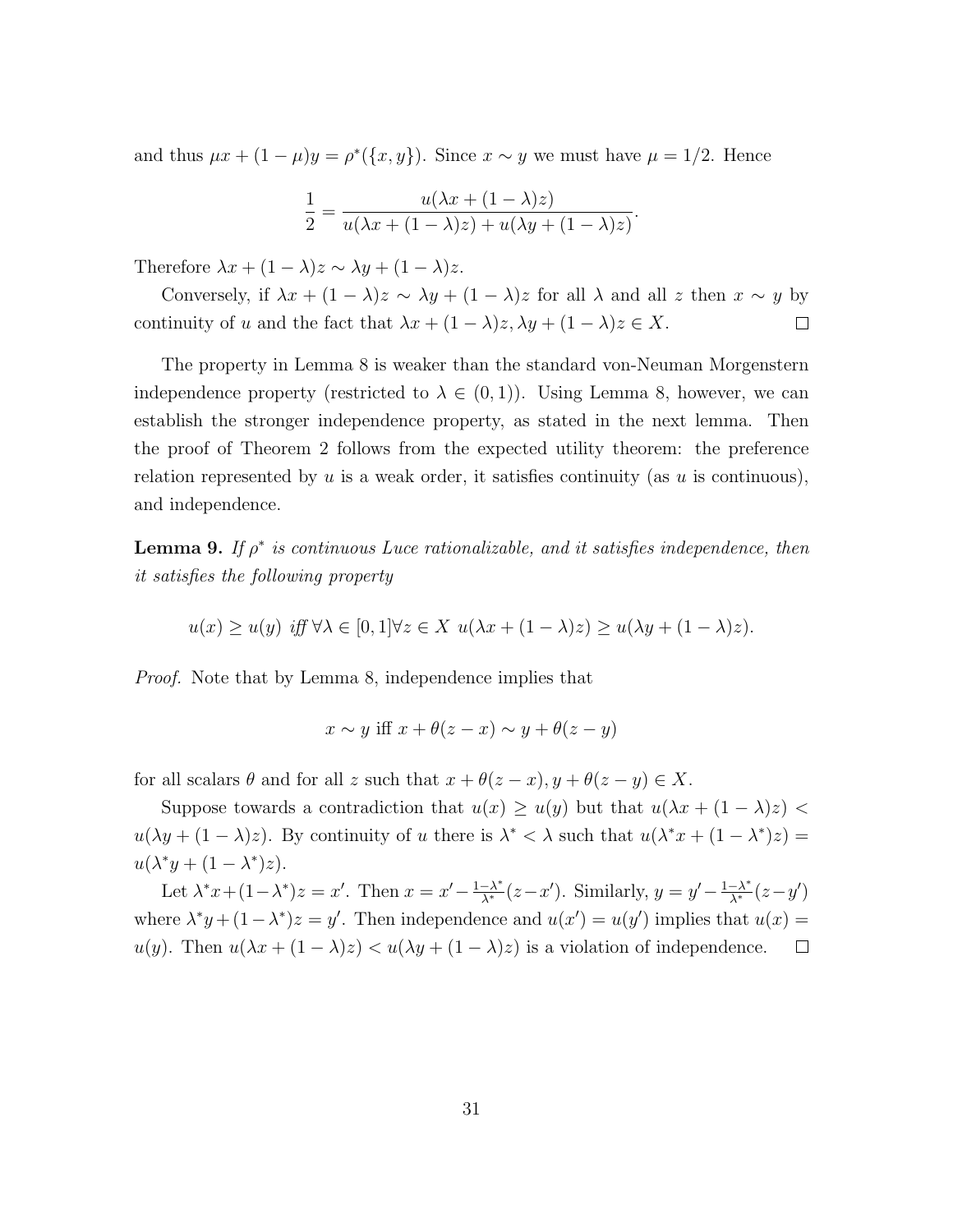and thus  $\mu x + (1 - \mu)y = \rho^*({x, y})$ . Since  $x \sim y$  we must have  $\mu = 1/2$ . Hence

$$
\frac{1}{2} = \frac{u(\lambda x + (1 - \lambda)z)}{u(\lambda x + (1 - \lambda)z) + u(\lambda y + (1 - \lambda)z)}.
$$

Therefore  $\lambda x + (1 - \lambda)z \sim \lambda y + (1 - \lambda)z$ .

Conversely, if  $\lambda x + (1 - \lambda)z \sim \lambda y + (1 - \lambda)z$  for all  $\lambda$  and all z then  $x \sim y$  by continuity of u and the fact that  $\lambda x + (1 - \lambda)z, \lambda y + (1 - \lambda)z \in X$ .  $\Box$ 

The property in Lemma 8 is weaker than the standard von-Neuman Morgenstern independence property (restricted to  $\lambda \in (0,1)$ ). Using Lemma 8, however, we can establish the stronger independence property, as stated in the next lemma. Then the proof of Theorem 2 follows from the expected utility theorem: the preference relation represented by u is a weak order, it satisfies continuity (as u is continuous), and independence.

**Lemma 9.** If  $\rho^*$  is continuous Luce rationalizable, and it satisfies independence, then it satisfies the following property

 $u(x) > u(y)$  iff  $\forall \lambda \in [0, 1] \forall z \in X$   $u(\lambda x + (1 - \lambda)z) > u(\lambda y + (1 - \lambda)z)$ .

Proof. Note that by Lemma 8, independence implies that

$$
x \sim y \text{ iff } x + \theta(z - x) \sim y + \theta(z - y)
$$

for all scalars  $\theta$  and for all z such that  $x + \theta(z - x)$ ,  $y + \theta(z - y) \in X$ .

Suppose towards a contradiction that  $u(x) \ge u(y)$  but that  $u(\lambda x + (1 - \lambda)z)$  $u(\lambda y + (1 - \lambda)z)$ . By continuity of u there is  $\lambda^* < \lambda$  such that  $u(\lambda^* x + (1 - \lambda^*) z) =$  $u(\lambda^* y + (1 - \lambda^*) z).$ 

Let  $\lambda^* x + (1 - \lambda^*) z = x'$ . Then  $x = x' - \frac{1 - \lambda^*}{\lambda^*} (z - x')$ . Similarly,  $y = y' - \frac{1 - \lambda^*}{\lambda^*} (z - y')$ where  $\lambda^* y + (1 - \lambda^*) z = y'$ . Then independence and  $u(x') = u(y')$  implies that  $u(x) =$ u(y). Then  $u(\lambda x + (1 - \lambda)z) < u(\lambda y + (1 - \lambda)z)$  is a violation of independence.  $\Box$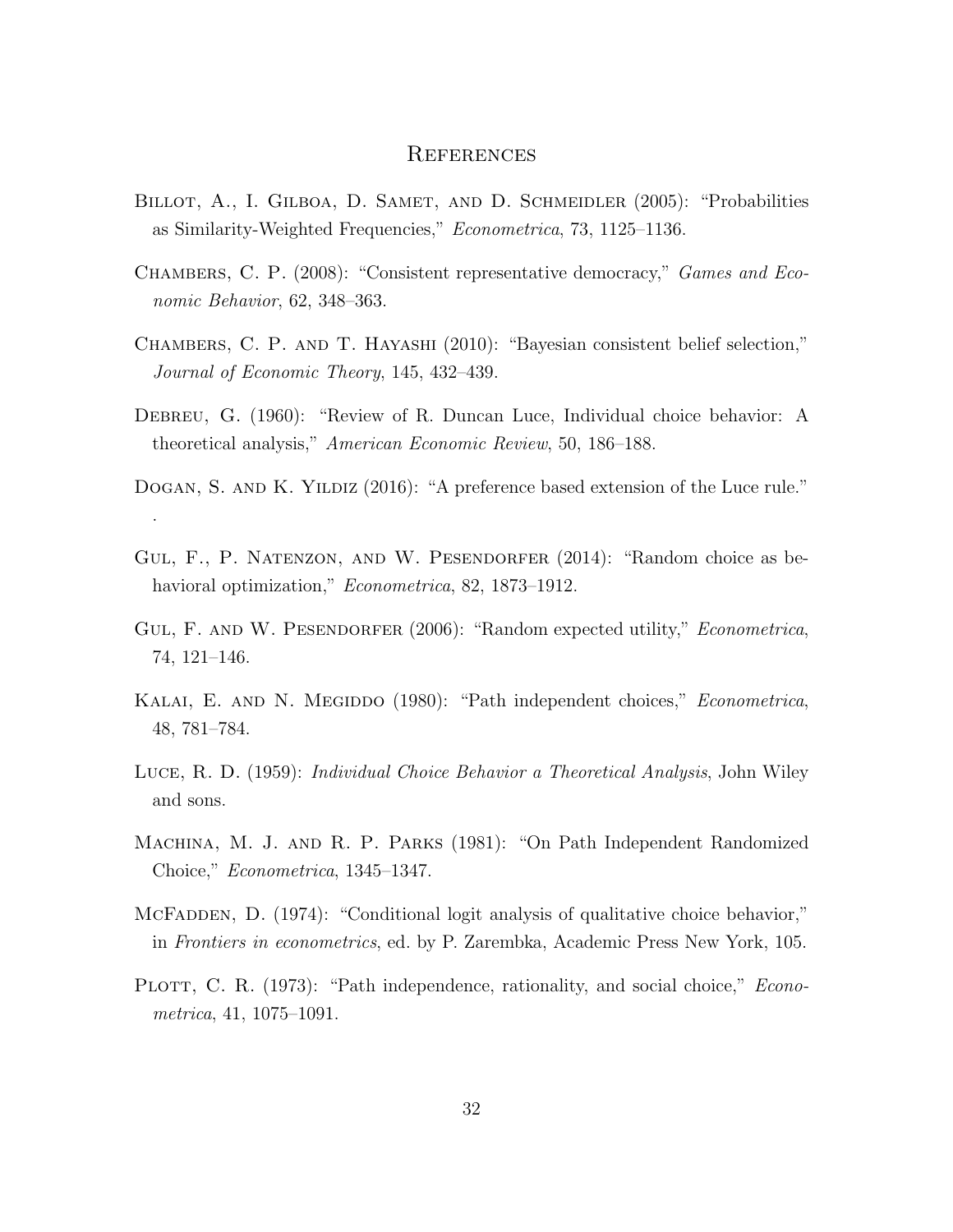## **REFERENCES**

- BILLOT, A., I. GILBOA, D. SAMET, AND D. SCHMEIDLER (2005): "Probabilities as Similarity-Weighted Frequencies," Econometrica, 73, 1125–1136.
- Chambers, C. P. (2008): "Consistent representative democracy," Games and Economic Behavior, 62, 348–363.
- Chambers, C. P. and T. Hayashi (2010): "Bayesian consistent belief selection," Journal of Economic Theory, 145, 432–439.
- Debreu, G. (1960): "Review of R. Duncan Luce, Individual choice behavior: A theoretical analysis," American Economic Review, 50, 186–188.
- DOGAN, S. AND K. YILDIZ (2016): "A preference based extension of the Luce rule." .
- Gul, F., P. Natenzon, and W. Pesendorfer (2014): "Random choice as behavioral optimization," *Econometrica*, 82, 1873–1912.
- GUL, F. AND W. PESENDORFER (2006): "Random expected utility," *Econometrica*, 74, 121–146.
- KALAI, E. AND N. MEGIDDO (1980): "Path independent choices," *Econometrica*, 48, 781–784.
- Luce, R. D. (1959): Individual Choice Behavior a Theoretical Analysis, John Wiley and sons.
- Machina, M. J. and R. P. Parks (1981): "On Path Independent Randomized Choice," Econometrica, 1345–1347.
- MCFADDEN, D. (1974): "Conditional logit analysis of qualitative choice behavior," in Frontiers in econometrics, ed. by P. Zarembka, Academic Press New York, 105.
- PLOTT, C. R. (1973): "Path independence, rationality, and social choice," *Econo*metrica, 41, 1075–1091.